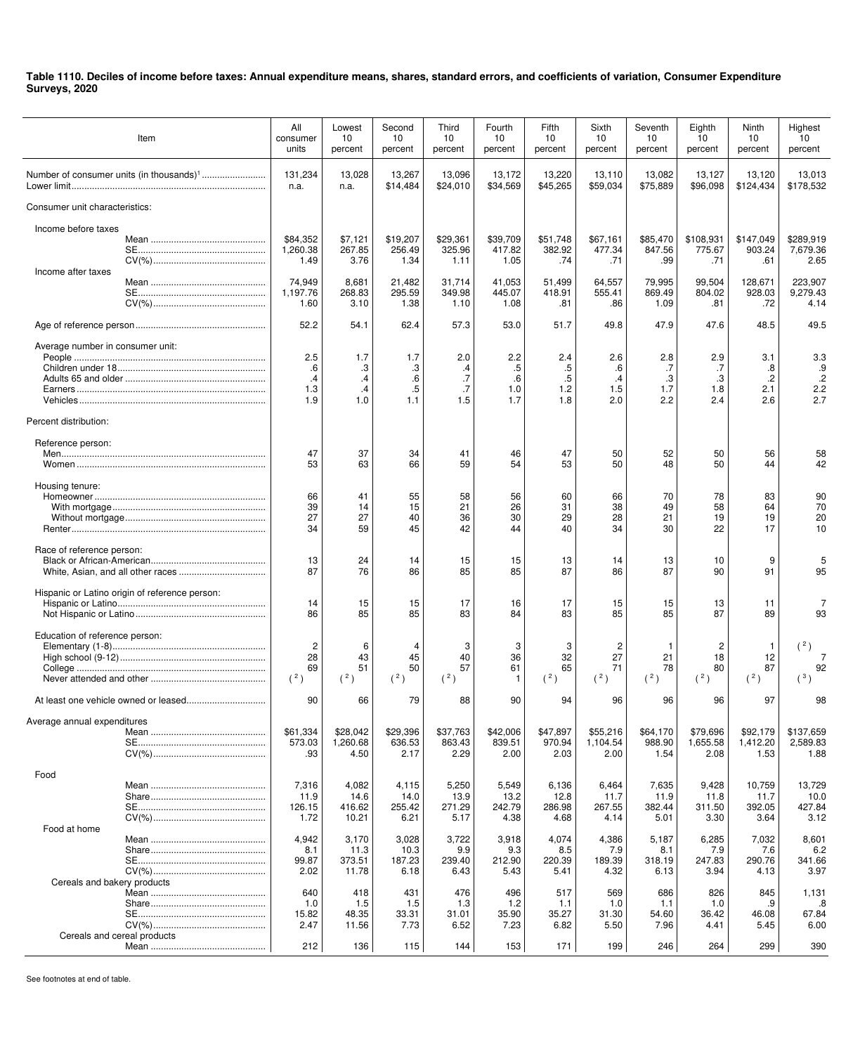| Item                                                      | All<br>consumer<br>units             | Lowest<br>10<br>percent                | Second<br>10<br>percent         | Third<br>10<br>percent         | Fourth<br>10<br>percent        | Fifth<br>10<br>percent         | Sixth<br>10<br>percent                 | Seventh<br>10<br>percent       | Eighth<br>10<br>percent        | Ninth<br>10<br>percent             | Highest<br>10<br>percent                   |
|-----------------------------------------------------------|--------------------------------------|----------------------------------------|---------------------------------|--------------------------------|--------------------------------|--------------------------------|----------------------------------------|--------------------------------|--------------------------------|------------------------------------|--------------------------------------------|
|                                                           | 131,234<br>n.a.                      | 13,028<br>n.a.                         | 13,267<br>\$14,484              | 13,096<br>\$24,010             | 13,172<br>\$34,569             | 13,220<br>\$45,265             | 13,110<br>\$59,034                     | 13,082<br>\$75,889             | 13,127<br>\$96,098             | 13,120<br>\$124,434                | 13,013<br>\$178,532                        |
| Consumer unit characteristics:                            |                                      |                                        |                                 |                                |                                |                                |                                        |                                |                                |                                    |                                            |
| Income before taxes                                       | \$84,352<br>1,260.38<br>1.49         | \$7,121<br>267.85<br>3.76              | \$19,207<br>256.49<br>1.34      | \$29,361<br>325.96<br>1.11     | \$39,709<br>417.82<br>1.05     | \$51,748<br>382.92<br>.74      | \$67,161<br>477.34<br>.71              | \$85,470<br>847.56<br>.99      | \$108,931<br>775.67<br>.71     | \$147,049<br>903.24<br>.61         | \$289.919<br>7.679.36<br>2.65              |
| Income after taxes                                        | 74,949<br>1,197.76<br>1.60           | 8,681<br>268.83<br>3.10                | 21,482<br>295.59<br>1.38        | 31,714<br>349.98<br>1.10       | 41,053<br>445.07<br>1.08       | 51,499<br>418.91<br>.81        | 64,557<br>555.41<br>.86                | 79,995<br>869.49<br>1.09       | 99,504<br>804.02<br>.81        | 128,671<br>928.03<br>.72           | 223,907<br>9,279.43<br>4.14                |
|                                                           | 52.2                                 | 54.1                                   | 62.4                            | 57.3                           | 53.0                           | 51.7                           | 49.8                                   | 47.9                           | 47.6                           | 48.5                               | 49.5                                       |
| Average number in consumer unit:<br>Percent distribution: | 2.5<br>.6<br>$\cdot$ 4<br>1.3<br>1.9 | 1.7<br>.3<br>$\cdot$<br>$\cdot$<br>1.0 | 1.7<br>.3<br>.6<br>.5<br>1.1    | 2.0<br>.4<br>.7<br>.7<br>1.5   | 2.2<br>.5<br>.6<br>1.0<br>1.7  | 2.4<br>.5<br>.5<br>1.2<br>1.8  | 2.6<br>.6<br>$\cdot$ 4<br>1.5<br>2.0   | 2.8<br>.7<br>.3<br>1.7<br>2.2  | 2.9<br>.7<br>.3<br>1.8<br>2.4  | 3.1<br>.8<br>$\cdot$<br>2.1<br>2.6 | 3.3<br>.9<br>$.2\phantom{0}$<br>2.2<br>2.7 |
| Reference person:                                         | 47<br>53                             | 37<br>63                               | 34<br>66                        | 41<br>59                       | 46<br>54                       | 47<br>53                       | 50<br>50                               | 52<br>48                       | 50<br>50                       | 56<br>44                           | 58<br>42                                   |
| Housing tenure:                                           | 66<br>39<br>27<br>34                 | 41<br>14<br>27<br>59                   | 55<br>15<br>40<br>45            | 58<br>21<br>36<br>42           | 56<br>26<br>30<br>44           | 60<br>31<br>29<br>40           | 66<br>38<br>28<br>34                   | 70<br>49<br>21<br>30           | 78<br>58<br>19<br>22           | 83<br>64<br>19<br>17               | 90<br>70<br>20<br>10                       |
| Race of reference person:                                 | 13<br>87                             | 24<br>76                               | 14<br>86                        | 15<br>85                       | 15<br>85                       | 13<br>87                       | 14<br>86                               | 13<br>87                       | 10<br>90                       | 9<br>91                            | 95                                         |
| Hispanic or Latino origin of reference person:            | 14<br>86                             | 15<br>85                               | 15<br>85                        | 17<br>83                       | 16<br>84                       | 17<br>83                       | 15<br>85                               | 15<br>85                       | 13<br>87                       | 11<br>89                           | 7<br>93                                    |
| Education of reference person:                            | $\overline{c}$<br>28<br>69<br>(2)    | 6<br>43<br>51<br>(2)                   | 45<br>50<br>(2)                 | 3<br>40<br>57<br>(2)           | 3<br>36<br>61<br>$\mathbf{1}$  | 3<br>32<br>65<br>(2)           | $\overline{c}$<br>27<br>71<br>$(^{2})$ | -1<br>21<br>78<br>(2)          | 2<br>18<br>80<br>(2)           | -1<br>12<br>87<br>$(^{2})$         | (2)<br>92<br>(3)                           |
|                                                           | 90                                   | 66                                     | 79                              | 88                             | 90                             | 94                             | 96                                     | 96                             | 96                             | 97                                 | 98                                         |
| Average annual expenditures                               | \$61,334<br>573.03<br>.93            | \$28.042<br>1,260.68<br>4.50           | \$29,396<br>636.53<br>2.17      | \$37,763<br>863.43<br>2.29     | \$42,006<br>839.51<br>2.00     | \$47,897<br>970.94<br>2.03     | \$55,216<br>1,104.54<br>2.00           | \$64,170<br>988.90<br>1.54     | \$79,696<br>1,655.58<br>2.08   | \$92,179<br>1,412.20<br>1.53       | \$137,659<br>2,589.83<br>1.88              |
| Food                                                      | 7,316                                | 4,082                                  | 4,115                           | 5,250                          | 5,549                          | 6,136                          | 6,464                                  | 7,635                          | 9,428                          | 10,759                             | 13,729                                     |
|                                                           | 11.9<br>126.15<br>1.72               | 14.6<br>416.62<br>10.21                | 14.0<br>255.42<br>6.21          | 13.9<br>271.29<br>5.17         | 13.2<br>242.79<br>4.38         | 12.8<br>286.98<br>4.68         | 11.7<br>267.55<br>4.14                 | 11.9<br>382.44<br>5.01         | 11.8<br>311.50<br>3.30         | 11.7<br>392.05<br>3.64             | 10.0<br>427.84<br>3.12                     |
| Food at home<br>Cereals and bakery products               | 4,942<br>8.1<br>99.87<br>2.02        | 3,170<br>11.3<br>373.51<br>11.78       | 3,028<br>10.3<br>187.23<br>6.18 | 3,722<br>9.9<br>239.40<br>6.43 | 3,918<br>9.3<br>212.90<br>5.43 | 4,074<br>8.5<br>220.39<br>5.41 | 4,386<br>7.9<br>189.39<br>4.32         | 5,187<br>8.1<br>318.19<br>6.13 | 6,285<br>7.9<br>247.83<br>3.94 | 7,032<br>7.6<br>290.76<br>4.13     | 8,601<br>6.2<br>341.66<br>3.97             |
|                                                           | 640<br>1.0<br>15.82<br>2.47          | 418<br>1.5<br>48.35<br>11.56           | 431<br>1.5<br>33.31<br>7.73     | 476<br>1.3<br>31.01<br>6.52    | 496<br>1.2<br>35.90<br>7.23    | 517<br>1.1<br>35.27<br>6.82    | 569<br>1.0<br>31.30<br>5.50            | 686<br>1.1<br>54.60<br>7.96    | 826<br>1.0<br>36.42<br>4.41    | 845<br>.9<br>46.08<br>5.45         | 1,131<br>.8<br>67.84<br>6.00               |
| Cereals and cereal products                               | 212                                  | 136                                    | 115                             | 144                            | 153                            | 171                            | 199                                    | 246                            | 264                            | 299                                | 390                                        |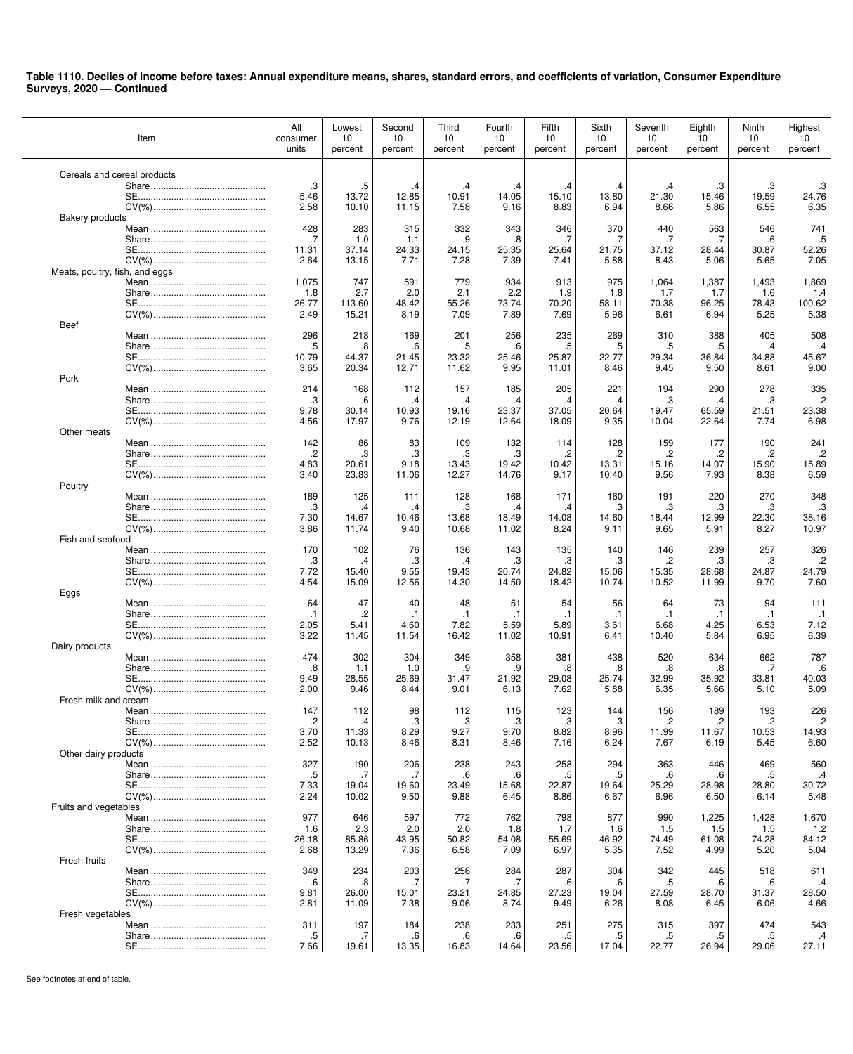|                                | Item | All<br>consumer<br>units | Lowest<br>10<br>percent | Second<br>10<br>percent | Third<br>10<br>percent | Fourth<br>10<br>percent | Fifth<br>10<br>percent | Sixth<br>10<br>percent | Seventh<br>10<br>percent | Eighth<br>10<br>percent | Ninth<br>10<br>percent | Highest<br>10<br>percent |
|--------------------------------|------|--------------------------|-------------------------|-------------------------|------------------------|-------------------------|------------------------|------------------------|--------------------------|-------------------------|------------------------|--------------------------|
| Cereals and cereal products    |      |                          |                         |                         |                        |                         |                        |                        |                          |                         |                        |                          |
|                                |      | .3                       | .5                      | .4                      | .4                     | .4                      | .4                     | .4                     | .4                       | .3                      | .3                     | .3                       |
|                                |      | 5.46                     | 13.72                   | 12.85                   | 10.91                  | 14.05                   | 15.10                  | 13.80                  | 21.30                    | 15.46                   | 19.59                  | 24.76                    |
| <b>Bakery products</b>         |      | 2.58                     | 10.10                   | 11.15                   | 7.58                   | 9.16                    | 8.83                   | 6.94                   | 8.66                     | 5.86                    | 6.55                   | 6.35                     |
|                                |      | 428                      | 283                     | 315                     | 332                    | 343                     | 346                    | 370                    | 440                      | 563                     | 546                    | 741                      |
|                                |      | .7                       | 1.0                     | 1.1                     | .9                     | .8                      | .7                     | .7                     | .7                       | .7                      | .6                     | .5                       |
|                                |      | 11.31                    | 37.14                   | 24.33                   | 24.15                  | 25.35                   | 25.64                  | 21.75                  | 37.12                    | 28.44                   | 30.87                  | 52.26                    |
|                                |      | 2.64                     | 13.15                   | 7.71                    | 7.28                   | 7.39                    | 7.41                   | 5.88                   | 8.43                     | 5.06                    | 5.65                   | 7.05                     |
| Meats, poultry, fish, and eggs |      | 1,075                    | 747                     | 591                     | 779                    | 934                     | 913                    | 975                    | 1,064                    | 1,387                   | 1,493                  | 1,869                    |
|                                |      | 1.8                      | 2.7                     | 2.0                     | 2.1                    | 2.2                     | 1.9                    | 1.8                    | 1.7                      | 1.7                     | 1.6                    | 1.4                      |
|                                |      | 26.77                    | 113.60                  | 48.42                   | 55.26                  | 73.74                   | 70.20                  | 58.11                  | 70.38                    | 96.25                   | 78.43                  | 100.62                   |
| <b>Beef</b>                    |      | 2.49                     | 15.21                   | 8.19                    | 7.09                   | 7.89                    | 7.69                   | 5.96                   | 6.61                     | 6.94                    | 5.25                   | 5.38                     |
|                                |      | 296                      | 218                     | 169                     | 201                    | 256                     | 235                    | 269                    | 310                      | 388                     | 405                    | 508                      |
|                                |      | .5                       | .8                      | .6                      | .5                     | .6                      | .5                     | .5                     | .5                       | .5                      | .4                     | .4                       |
|                                |      | 10.79                    | 44.37                   | 21.45                   | 23.32                  | 25.46                   | 25.87                  | 22.77                  | 29.34                    | 36.84                   | 34.88                  | 45.67                    |
|                                |      | 3.65                     | 20.34                   | 12.71                   | 11.62                  | 9.95                    | 11.01                  | 8.46                   | 9.45                     | 9.50                    | 8.61                   | 9.00                     |
| Pork                           |      | 214                      | 168                     | 112                     | 157                    | 185                     | 205                    | 221                    | 194                      | 290                     | 278                    | 335                      |
|                                |      | .3                       | .6                      | $\cdot$                 | .4                     | $\cdot$                 | $\cdot$                | .4                     | .3                       | .4                      | .3                     | $\cdot$                  |
|                                |      | 9.78                     | 30.14                   | 10.93                   | 19.16                  | 23.37                   | 37.05                  | 20.64                  | 19.47                    | 65.59                   | 21.51                  | 23.38                    |
|                                |      | 4.56                     | 17.97                   | 9.76                    | 12.19                  | 12.64                   | 18.09                  | 9.35                   | 10.04                    | 22.64                   | 7.74                   | 6.98                     |
| Other meats                    |      | 142                      | 86                      | 83                      | 109                    | 132                     | 114                    | 128                    | 159                      | 177                     | 190                    | 241                      |
|                                |      | .2                       | .3                      | .3                      | .3                     | .3                      | .2                     | .2                     | .2                       | .2                      | .2                     | $\cdot$                  |
|                                |      | 4.83                     | 20.61                   | 9.18                    | 13.43                  | 19.42                   | 10.42                  | 13.31                  | 15.16                    | 14.07                   | 15.90                  | 15.89                    |
|                                |      | 3.40                     | 23.83                   | 11.06                   | 12.27                  | 14.76                   | 9.17                   | 10.40                  | 9.56                     | 7.93                    | 8.38                   | 6.59                     |
| Poultry                        |      | 189                      | 125                     | 111                     | 128                    | 168                     | 171                    | 160                    | 191                      | 220                     | 270                    | 348                      |
|                                |      | .3                       | .4                      | .4                      | .3                     | .4                      | .4                     | .3                     | .3                       | .3                      | .3                     | .3                       |
|                                |      | 7.30                     | 14.67                   | 10.46                   | 13.68                  | 18.49                   | 14.08                  | 14.60                  | 18.44                    | 12.99                   | 22.30                  | 38.16                    |
|                                |      | 3.86                     | 11.74                   | 9.40                    | 10.68                  | 11.02                   | 8.24                   | 9.11                   | 9.65                     | 5.91                    | 8.27                   | 10.97                    |
| Fish and seafood               |      |                          |                         |                         |                        |                         |                        |                        |                          |                         |                        |                          |
|                                |      | 170<br>.3                | 102<br>.4               | 76<br>.3                | 136<br>.4              | 143<br>.3               | 135<br>.3              | 140<br>.3              | 146<br>.2                | 239<br>.3               | 257<br>.3              | 326<br>$\cdot$           |
|                                |      | 7.72                     | 15.40                   | 9.55                    | 19.43                  | 20.74                   | 24.82                  | 15.06                  | 15.35                    | 28.68                   | 24.87                  | 24.79                    |
|                                |      | 4.54                     | 15.09                   | 12.56                   | 14.30                  | 14.50                   | 18.42                  | 10.74                  | 10.52                    | 11.99                   | 9.70                   | 7.60                     |
| Eggs                           |      |                          |                         |                         |                        |                         |                        |                        |                          |                         |                        |                          |
|                                |      | 64<br>$\cdot$ 1          | 47<br>$\cdot$           | 40<br>$\cdot$ 1         | 48<br>$\cdot$ 1        | 51<br>$\cdot$ 1         | 54<br>$\cdot$ 1        | 56<br>$\cdot$ 1        | 64<br>$\cdot$ 1          | 73<br>$\cdot$ 1         | 94<br>$\cdot$ 1        | 111<br>$\cdot$ 1         |
|                                |      | 2.05                     | 5.41                    | 4.60                    | 7.82                   | 5.59                    | 5.89                   | 3.61                   | 6.68                     | 4.25                    | 6.53                   | 7.12                     |
|                                |      | 3.22                     | 11.45                   | 11.54                   | 16.42                  | 11.02                   | 10.91                  | 6.41                   | 10.40                    | 5.84                    | 6.95                   | 6.39                     |
| Dairy products                 |      |                          |                         |                         |                        |                         |                        |                        |                          |                         |                        |                          |
|                                |      | 474                      | 302                     | 304                     | 349                    | 358                     | 381                    | 438                    | 520                      | 634                     | 662                    | 787                      |
|                                |      | .8<br>9.49               | 1.1<br>28.55            | 1.0<br>25.69            | .9<br>31.47            | .9<br>21.92             | .8<br>29.08            | .8<br>25.74            | 8.<br>32.99              | .8<br>35.92             | .7<br>33.81            | .6<br>40.03              |
|                                |      | 2.00                     | 9.46                    | 8.44                    | 9.01                   | 6.13                    | 7.62                   | 5.88                   | 6.35                     | 5.66                    | 5.10                   | 5.09                     |
| Fresh milk and cream           |      |                          |                         |                         |                        |                         |                        |                        |                          |                         |                        |                          |
|                                | Mean | 147                      | 112                     | 98                      | 112                    | 115                     | 123                    | 144                    | 156                      | 189                     | 193                    | 226                      |
|                                |      | .2<br>3.70               | .4<br>11.33             | .3<br>8.29              | .3<br>9.27             | .3<br>9.70              | .3<br>8.82             | .3<br>8.96             | .2<br>11.99              | .2<br>11.67             | .2<br>10.53            | .2<br>14.93              |
|                                |      | 2.52                     | 10.13                   | 8.46                    | 8.31                   | 8.46                    | 7.16                   | 6.24                   | 7.67                     | 6.19                    | 5.45                   | 6.60                     |
| Other dairy products           |      |                          |                         |                         |                        |                         |                        |                        |                          |                         |                        |                          |
|                                |      | 327                      | 190                     | 206                     | 238                    | 243                     | 258                    | 294                    | 363                      | 446                     | 469                    | 560                      |
|                                |      | .5                       | .7                      | .7                      | .6                     | .6                      | .5                     | .5                     | .6                       | $6 \,$                  | .5                     | $\cdot$ 4                |
|                                |      | 7.33<br>2.24             | 19.04<br>10.02          | 19.60<br>9.50           | 23.49<br>9.88          | 15.68<br>6.45           | 22.87<br>8.86          | 19.64<br>6.67          | 25.29<br>6.96            | 28.98<br>6.50           | 28.80<br>6.14          | 30.72<br>5.48            |
| Fruits and vegetables          |      |                          |                         |                         |                        |                         |                        |                        |                          |                         |                        |                          |
|                                |      | 977                      | 646                     | 597                     | 772                    | 762                     | 798                    | 877                    | 990                      | 1,225                   | 1,428                  | 1,670                    |
|                                |      | 1.6                      | 2.3                     | 2.0                     | 2.0                    | 1.8                     | 1.7                    | 1.6                    | 1.5                      | 1.5                     | 1.5                    | $1.2$                    |
|                                |      | 26.18                    | 85.86                   | 43.95                   | 50.82                  | 54.08<br>7.09           | 55.69<br>6.97          | 46.92                  | 74.49                    | 61.08<br>4.99           | 74.28                  | 84.12<br>5.04            |
| Fresh fruits                   |      | 2.68                     | 13.29                   | 7.36                    | 6.58                   |                         |                        | 5.35                   | 7.52                     |                         | 5.20                   |                          |
|                                |      | 349                      | 234                     | 203                     | 256                    | 284                     | 287                    | 304                    | 342                      | 445                     | 518                    | 611                      |
|                                |      | .6                       | .8                      | .7                      | .7                     | .7                      | .6                     | .6                     | .5                       | .6                      | .6                     | .4                       |
|                                |      | 9.81                     | 26.00                   | 15.01                   | 23.21                  | 24.85                   | 27.23                  | 19.04                  | 27.59                    | 28.70                   | 31.37                  | 28.50                    |
|                                |      | 2.81                     | 11.09                   | 7.38                    | 9.06                   | 8.74                    | 9.49                   | 6.26                   | 8.08                     | 6.45                    | 6.06                   | 4.66                     |
| Fresh vegetables               |      | 311                      | 197                     | 184                     | 238                    | 233                     | 251                    | 275                    | 315                      | 397                     | 474                    | 543                      |
|                                |      | $.5\,$                   | .7                      | .6                      | .6                     | .6                      | .5                     | .5                     | .5                       | .5                      | .5                     | .4                       |
|                                |      | 7.66                     | 19.61                   | 13.35                   | 16.83                  | 14.64                   | 23.56                  | 17.04                  | 22.77                    | 26.94                   | 29.06                  | 27.11                    |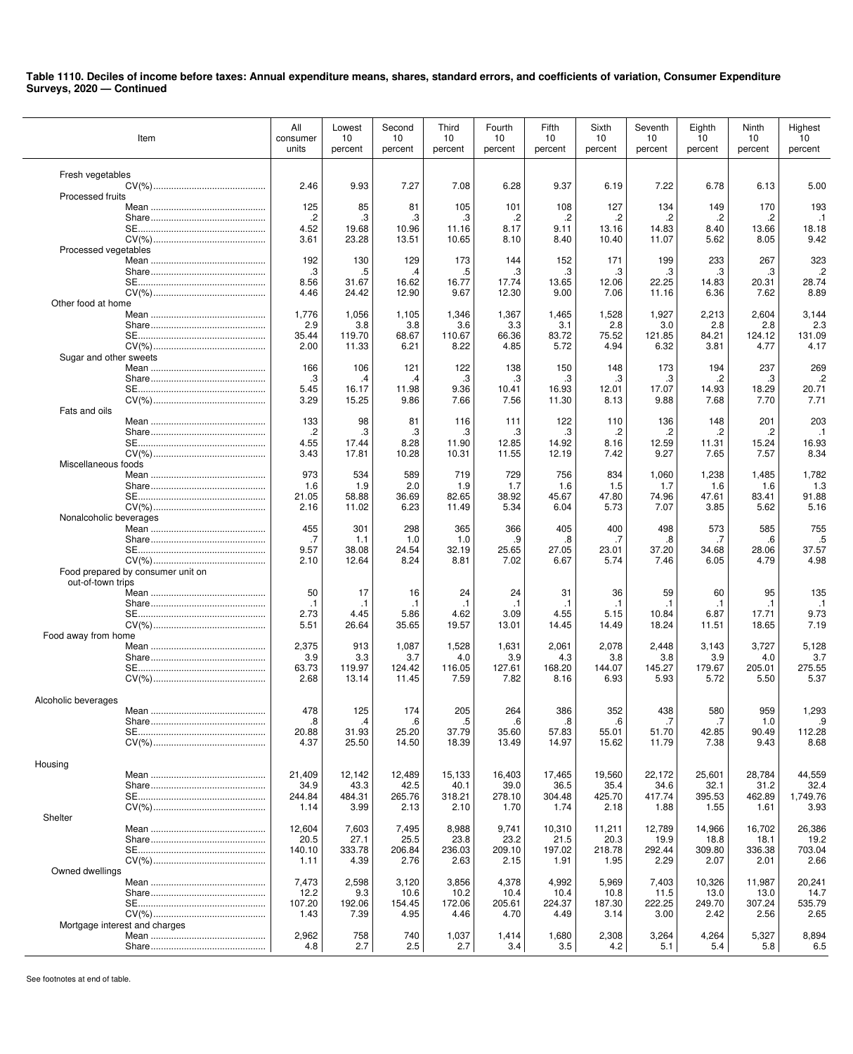| Item                                                   | All<br>consumer<br>units | Lowest<br>10<br>percent | Second<br>10<br>percent | Third<br>10<br>percent | Fourth<br>10<br>percent | Fifth<br>10<br>percent | Sixth<br>10<br>percent | Seventh<br>10<br>percent | Eighth<br>10<br>percent | Ninth<br>10<br>percent | Highest<br>10<br>percent |
|--------------------------------------------------------|--------------------------|-------------------------|-------------------------|------------------------|-------------------------|------------------------|------------------------|--------------------------|-------------------------|------------------------|--------------------------|
| Fresh vegetables                                       |                          |                         |                         |                        |                         |                        |                        |                          |                         |                        |                          |
|                                                        | 2.46                     | 9.93                    | 7.27                    | 7.08                   | 6.28                    | 9.37                   | 6.19                   | 7.22                     | 6.78                    | 6.13                   | 5.00                     |
| Processed fruits                                       |                          |                         |                         |                        |                         |                        |                        |                          |                         |                        |                          |
|                                                        | 125<br>.2                | 85<br>.3                | 81<br>.3                | 105<br>.3              | 101<br>.2               | 108<br>.2              | 127<br>.2              | 134                      | 149<br>.2               | 170<br>.2              | 193<br>$\cdot$ 1         |
|                                                        | 4.52                     | 19.68                   | 10.96                   | 11.16                  | 8.17                    | 9.11                   | 13.16                  | 14.83                    | 8.40                    | 13.66                  | 18.18                    |
| Processed vegetables                                   | 3.61                     | 23.28                   | 13.51                   | 10.65                  | 8.10                    | 8.40                   | 10.40                  | 11.07                    | 5.62                    | 8.05                   | 9.42                     |
|                                                        | 192                      | 130                     | 129                     | 173                    | 144                     | 152                    | 171                    | 199                      | 233                     | 267                    | 323                      |
|                                                        | .3<br>8.56               | .5<br>31.67             | .4<br>16.62             | .5<br>16.77            | .3<br>17.74             | .3<br>13.65            | .3<br>12.06            | .3<br>22.25              | .3<br>14.83             | .3<br>20.31            | $\cdot$<br>28.74         |
|                                                        | 4.46                     | 24.42                   | 12.90                   | 9.67                   | 12.30                   | 9.00                   | 7.06                   | 11.16                    | 6.36                    | 7.62                   | 8.89                     |
| Other food at home                                     |                          |                         |                         |                        |                         |                        |                        |                          |                         |                        |                          |
|                                                        | 1,776<br>2.9             | 1,056<br>3.8            | 1,105<br>3.8            | 1,346<br>3.6           | 1,367<br>3.3            | 1,465<br>3.1           | 1,528<br>2.8           | 1,927<br>3.0             | 2,213<br>2.8            | 2,604<br>2.8           | 3,144<br>2.3             |
|                                                        | 35.44                    | 119.70                  | 68.67                   | 110.67                 | 66.36                   | 83.72                  | 75.52                  | 121.85                   | 84.21                   | 124.12                 | 131.09                   |
| Sugar and other sweets                                 | 2.00                     | 11.33                   | 6.21                    | 8.22                   | 4.85                    | 5.72                   | 4.94                   | 6.32                     | 3.81                    | 4.77                   | 4.17                     |
|                                                        | 166                      | 106                     | 121                     | 122                    | 138                     | 150                    | 148                    | 173                      | 194                     | 237                    | 269                      |
|                                                        | .3<br>5.45               | .4<br>16.17             | .4<br>11.98             | .3<br>9.36             | .3<br>10.41             | .3<br>16.93            | .3<br>12.01            | .3<br>17.07              | .2<br>14.93             | .3<br>18.29            | $\cdot$<br>20.71         |
|                                                        | 3.29                     | 15.25                   | 9.86                    | 7.66                   | 7.56                    | 11.30                  | 8.13                   | 9.88                     | 7.68                    | 7.70                   | 7.71                     |
| Fats and oils                                          |                          |                         |                         |                        |                         |                        |                        |                          |                         |                        |                          |
|                                                        | 133<br>$\cdot$           | 98<br>.3                | 81<br>.3                | 116<br>.3              | 111<br>.3               | 122<br>.3              | 110<br>.2              | 136<br>.2                | 148<br>.2               | 201<br>.2              | 203<br>$\cdot$ 1         |
|                                                        | 4.55                     | 17.44                   | 8.28                    | 11.90                  | 12.85                   | 14.92                  | 8.16                   | 12.59                    | 11.31                   | 15.24                  | 16.93                    |
| Miscellaneous foods                                    | 3.43                     | 17.81                   | 10.28                   | 10.31                  | 11.55                   | 12.19                  | 7.42                   | 9.27                     | 7.65                    | 7.57                   | 8.34                     |
|                                                        | 973                      | 534                     | 589                     | 719                    | 729                     | 756                    | 834                    | 1,060                    | 1,238                   | 1,485                  | 1,782                    |
|                                                        | 1.6                      | 1.9                     | 2.0                     | 1.9                    | 1.7                     | 1.6                    | 1.5                    | 1.7                      | 1.6                     | 1.6                    | 1.3                      |
|                                                        | 21.05<br>2.16            | 58.88<br>11.02          | 36.69<br>6.23           | 82.65<br>11.49         | 38.92<br>5.34           | 45.67<br>6.04          | 47.80<br>5.73          | 74.96<br>7.07            | 47.61<br>3.85           | 83.41<br>5.62          | 91.88<br>5.16            |
| Nonalcoholic beverages                                 |                          |                         |                         |                        |                         |                        |                        |                          |                         |                        |                          |
|                                                        | 455<br>.7                | 301<br>1.1              | 298<br>1.0              | 365<br>1.0             | 366<br>.9               | 405<br>.8              | 400<br>.7              | 498<br>.8                | 573<br>.7               | 585<br>.6              | 755<br>.5                |
|                                                        | 9.57                     | 38.08                   | 24.54                   | 32.19                  | 25.65                   | 27.05                  | 23.01                  | 37.20                    | 34.68                   | 28.06                  | 37.57                    |
|                                                        | 2.10                     | 12.64                   | 8.24                    | 8.81                   | 7.02                    | 6.67                   | 5.74                   | 7.46                     | 6.05                    | 4.79                   | 4.98                     |
| Food prepared by consumer unit on<br>out-of-town trips |                          |                         |                         |                        |                         |                        |                        |                          |                         |                        |                          |
|                                                        | 50                       | 17                      | 16                      | 24                     | 24                      | 31                     | 36                     | 59                       | 60                      | 95                     | 135                      |
|                                                        | $\cdot$ 1<br>2.73        | $\cdot$ 1<br>4.45       | $\cdot$ 1<br>5.86       | $\cdot$ 1<br>4.62      | $\cdot$ 1<br>3.09       | $\cdot$ 1<br>4.55      | .1<br>5.15             | $\cdot$ 1<br>10.84       | $\cdot$ 1<br>6.87       | $\cdot$ 1<br>17.71     | $\cdot$ 1<br>9.73        |
|                                                        | 5.51                     | 26.64                   | 35.65                   | 19.57                  | 13.01                   | 14.45                  | 14.49                  | 18.24                    | 11.51                   | 18.65                  | 7.19                     |
| Food away from home                                    | 2,375                    | 913                     | 1,087                   | 1,528                  | 1,631                   | 2,061                  | 2,078                  | 2,448                    | 3,143                   | 3,727                  | 5,128                    |
|                                                        | 3.9                      | 3.3                     | 3.7                     | 4.0                    | 3.9                     | 4.3                    | 3.8                    | 3.8                      | 3.9                     | 4.0                    | 3.7                      |
|                                                        | 63.73                    | 119.97                  | 124.42                  | 116.05                 | 127.61                  | 168.20                 | 144.07                 | 145.27                   | 179.67                  | 205.01                 | 275.55                   |
|                                                        | 2.68                     | 13.14                   | 11.45                   | 7.59                   | 7.82                    | 8.16                   | 6.93                   | 5.93                     | 5.72                    | 5.50                   | 5.37                     |
| Alcoholic beverages                                    |                          |                         |                         |                        |                         |                        |                        |                          |                         |                        |                          |
|                                                        | 478<br>.8                | 125<br>.4               | 174<br>.6               | 205<br>.5              | 264<br>$6 \,$           | 386<br>.8              | 352<br>.6              | 438<br>.7                | 580<br>.7               | 959<br>1.0             | 1,293<br>.9              |
|                                                        | 20.88                    | 31.93                   | 25.20                   | 37.79                  | 35.60                   | 57.83                  | 55.01                  | 51.70                    | 42.85                   | 90.49                  | 112.28                   |
|                                                        | 4.37                     | 25.50                   | 14.50                   | 18.39                  | 13.49                   | 14.97                  | 15.62                  | 11.79                    | 7.38                    | 9.43                   | 8.68                     |
| Housing                                                |                          |                         |                         |                        |                         |                        |                        |                          |                         |                        |                          |
|                                                        | 21.409<br>34.9           | 12,142<br>43.3          | 12,489<br>42.5          | 15,133<br>40.1         | 16,403<br>39.0          | 17,465<br>36.5         | 19,560<br>35.4         | 22,172<br>34.6           | 25,601<br>32.1          | 28,784<br>31.2         | 44,559<br>32.4           |
|                                                        | 244.84                   | 484.31                  | 265.76                  | 318.21                 | 278.10                  | 304.48                 | 425.70                 | 417.74                   | 395.53                  | 462.89                 | 1,749.76                 |
|                                                        | 1.14                     | 3.99                    | 2.13                    | 2.10                   | 1.70                    | 1.74                   | 2.18                   | 1.88                     | 1.55                    | 1.61                   | 3.93                     |
| Shelter                                                | 12,604                   | 7,603                   | 7,495                   | 8,988                  | 9,741                   | 10,310                 | 11,211                 | 12,789                   | 14,966                  | 16,702                 | 26,386                   |
|                                                        | 20.5                     | 27.1                    | 25.5                    | 23.8                   | 23.2                    | 21.5                   | 20.3                   | 19.9                     | 18.8                    | 18.1                   | 19.2                     |
|                                                        | 140.10<br>1.11           | 333.78<br>4.39          | 206.84<br>2.76          | 236.03<br>2.63         | 209.10<br>2.15          | 197.02<br>1.91         | 218.78<br>1.95         | 292.44<br>2.29           | 309.80<br>2.07          | 336.38<br>2.01         | 703.04<br>2.66           |
| Owned dwellings                                        |                          |                         |                         |                        |                         |                        |                        |                          |                         |                        |                          |
|                                                        | 7,473<br>12.2            | 2,598<br>9.3            | 3,120<br>10.6           | 3,856<br>10.2          | 4,378<br>10.4           | 4,992<br>10.4          | 5,969<br>10.8          | 7,403<br>11.5            | 10,326<br>13.0          | 11,987<br>13.0         | 20,241<br>14.7           |
|                                                        | 107.20                   | 192.06                  | 154.45                  | 172.06                 | 205.61                  | 224.37                 | 187.30                 | 222.25                   | 249.70                  | 307.24                 | 535.79                   |
|                                                        | 1.43                     | 7.39                    | 4.95                    | 4.46                   | 4.70                    | 4.49                   | 3.14                   | 3.00                     | 2.42                    | 2.56                   | 2.65                     |
| Mortgage interest and charges                          | 2,962                    | 758                     | 740                     | 1,037                  | 1,414                   | 1,680                  | 2,308                  | 3,264                    | 4,264                   | 5,327                  | 8,894                    |
|                                                        | 4.8                      | 2.7                     | 2.5                     | 2.7                    | 3.4                     | 3.5                    | 4.2                    | 5.1                      | 5.4                     | 5.8                    | 6.5                      |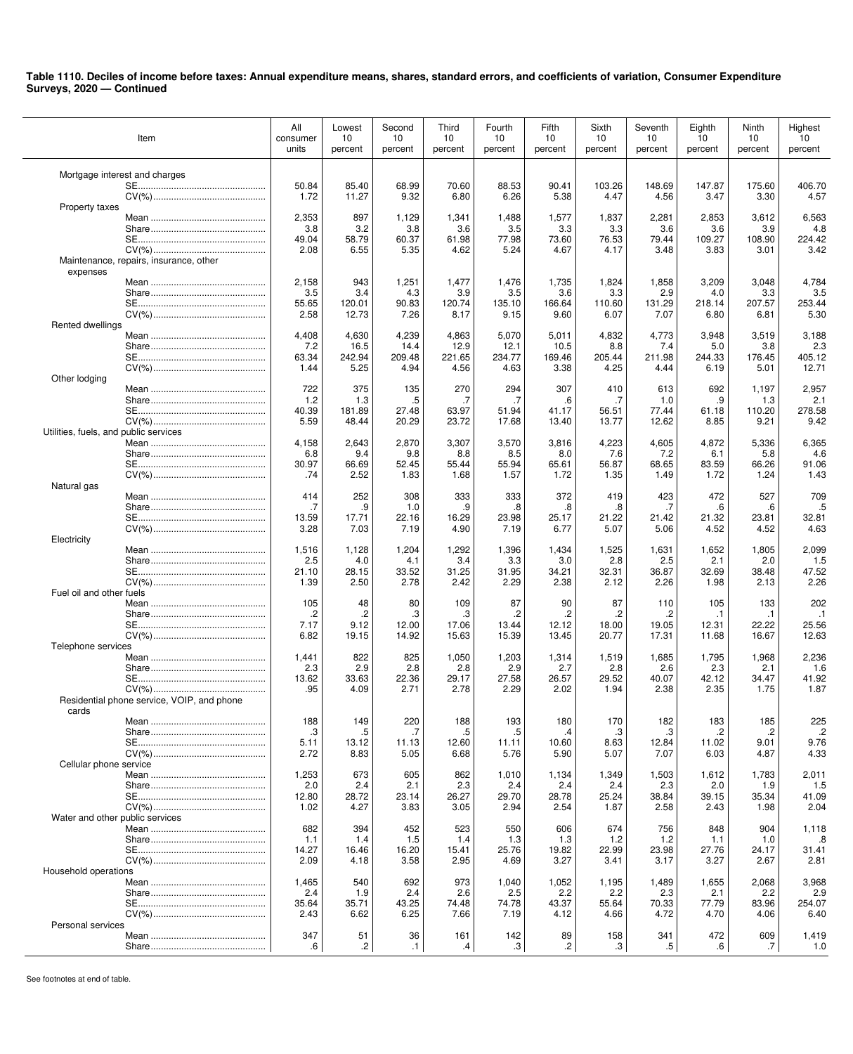| Item                                               | All<br>consumer<br>units | Lowest<br>10<br>percent | Second<br>10<br>percent | Third<br>10<br>percent | Fourth<br>10<br>percent | Fifth<br>10<br>percent | Sixth<br>10<br>percent | Seventh<br>10<br>percent | Eighth<br>10<br>percent | Ninth<br>10<br>percent | Highest<br>10<br>percent |
|----------------------------------------------------|--------------------------|-------------------------|-------------------------|------------------------|-------------------------|------------------------|------------------------|--------------------------|-------------------------|------------------------|--------------------------|
| Mortgage interest and charges                      |                          |                         |                         |                        |                         |                        |                        |                          |                         |                        |                          |
|                                                    | 50.84                    | 85.40                   | 68.99                   | 70.60                  | 88.53                   | 90.41                  | 103.26                 | 148.69                   | 147.87                  | 175.60                 | 406.70                   |
| Property taxes                                     | 1.72                     | 11.27                   | 9.32                    | 6.80                   | 6.26                    | 5.38                   | 4.47                   | 4.56                     | 3.47                    | 3.30                   | 4.57                     |
|                                                    | 2,353                    | 897                     | 1,129                   | 1,341                  | 1,488                   | 1,577                  | 1,837                  | 2,281                    | 2,853                   | 3,612                  | 6,563                    |
|                                                    | 3.8                      | 3.2                     | 3.8                     | 3.6                    | 3.5                     | 3.3                    | 3.3                    | 3.6                      | 3.6                     | 3.9                    | 4.8                      |
|                                                    | 49.04                    | 58.79                   | 60.37                   | 61.98                  | 77.98                   | 73.60                  | 76.53                  | 79.44                    | 109.27                  | 108.90                 | 224.42                   |
|                                                    | 2.08                     | 6.55                    | 5.35                    | 4.62                   | 5.24                    | 4.67                   | 4.17                   | 3.48                     | 3.83                    | 3.01                   | 3.42                     |
| Maintenance, repairs, insurance, other<br>expenses |                          |                         |                         |                        |                         |                        |                        |                          |                         |                        |                          |
|                                                    | 2,158                    | 943                     | 1,251                   | 1,477                  | 1,476                   | 1,735                  | 1,824                  | 1,858                    | 3,209                   | 3,048                  | 4,784                    |
|                                                    | 3.5                      | 3.4                     | 4.3                     | 3.9                    | 3.5                     | 3.6                    | 3.3                    | 2.9                      | 4.0                     | 3.3                    | 3.5                      |
|                                                    | 55.65                    | 120.01                  | 90.83                   | 120.74                 | 135.10                  | 166.64                 | 110.60                 | 131.29                   | 218.14                  | 207.57                 | 253.44                   |
|                                                    | 2.58                     | 12.73                   | 7.26                    | 8.17                   | 9.15                    | 9.60                   | 6.07                   | 7.07                     | 6.80                    | 6.81                   | 5.30                     |
| Rented dwellings                                   |                          | 4,630                   | 4,239                   | 4,863                  | 5,070                   |                        | 4,832                  |                          | 3,948                   | 3,519                  |                          |
|                                                    | 4,408<br>7.2             | 16.5                    | 14.4                    | 12.9                   | 12.1                    | 5,011<br>10.5          | 8.8                    | 4,773<br>7.4             | 5.0                     | 3.8                    | 3,188<br>2.3             |
|                                                    | 63.34                    | 242.94                  | 209.48                  | 221.65                 | 234.77                  | 169.46                 | 205.44                 | 211.98                   | 244.33                  | 176.45                 | 405.12                   |
|                                                    | 1.44                     | 5.25                    | 4.94                    | 4.56                   | 4.63                    | 3.38                   | 4.25                   | 4.44                     | 6.19                    | 5.01                   | 12.71                    |
| Other lodging                                      |                          |                         |                         |                        |                         |                        |                        |                          |                         |                        |                          |
|                                                    | 722                      | 375<br>1.3              | 135                     | 270<br>.7              | 294<br>.7               | 307<br>.6              | 410<br>.7              | 613<br>1.0               | 692<br>.9               | 1,197                  | 2,957<br>2.1             |
|                                                    | 1.2<br>40.39             | 181.89                  | .5<br>27.48             | 63.97                  | 51.94                   | 41.17                  | 56.51                  | 77.44                    | 61.18                   | 1.3<br>110.20          | 278.58                   |
|                                                    | 5.59                     | 48.44                   | 20.29                   | 23.72                  | 17.68                   | 13.40                  | 13.77                  | 12.62                    | 8.85                    | 9.21                   | 9.42                     |
| Utilities, fuels, and public services              |                          |                         |                         |                        |                         |                        |                        |                          |                         |                        |                          |
|                                                    | 4,158                    | 2,643                   | 2,870                   | 3,307                  | 3,570                   | 3,816                  | 4,223                  | 4,605                    | 4,872                   | 5,336                  | 6,365                    |
|                                                    | 6.8                      | 9.4                     | 9.8                     | 8.8                    | 8.5                     | 8.0                    | 7.6                    | 7.2                      | 6.1                     | 5.8                    | 4.6                      |
|                                                    | 30.97<br>.74             | 66.69<br>2.52           | 52.45<br>1.83           | 55.44<br>1.68          | 55.94<br>1.57           | 65.61<br>1.72          | 56.87<br>1.35          | 68.65<br>1.49            | 83.59<br>1.72           | 66.26<br>1.24          | 91.06<br>1.43            |
| Natural gas                                        |                          |                         |                         |                        |                         |                        |                        |                          |                         |                        |                          |
|                                                    | 414                      | 252                     | 308                     | 333                    | 333                     | 372                    | 419                    | 423                      | 472                     | 527                    | 709                      |
|                                                    | .7                       | .9                      | 1.0                     | .9                     | .8                      | .8                     | .8                     | .7                       | .6                      | .6                     | .5                       |
|                                                    | 13.59                    | 17.71                   | 22.16                   | 16.29                  | 23.98                   | 25.17                  | 21.22                  | 21.42                    | 21.32                   | 23.81                  | 32.81                    |
| Electricity                                        | 3.28                     | 7.03                    | 7.19                    | 4.90                   | 7.19                    | 6.77                   | 5.07                   | 5.06                     | 4.52                    | 4.52                   | 4.63                     |
|                                                    | 1,516                    | 1,128                   | 1,204                   | 1,292                  | 1,396                   | 1,434                  | 1,525                  | 1,631                    | 1,652                   | 1,805                  | 2,099                    |
|                                                    | 2.5                      | 4.0                     | 4.1                     | 3.4                    | 3.3                     | 3.0                    | 2.8                    | 2.5                      | 2.1                     | 2.0                    | 1.5                      |
|                                                    | 21.10                    | 28.15                   | 33.52                   | 31.25                  | 31.95                   | 34.21                  | 32.31                  | 36.87                    | 32.69                   | 38.48                  | 47.52                    |
|                                                    | 1.39                     | 2.50                    | 2.78                    | 2.42                   | 2.29                    | 2.38                   | 2.12                   | 2.26                     | 1.98                    | 2.13                   | 2.26                     |
| Fuel oil and other fuels                           | 105                      | 48                      | 80                      | 109                    | 87                      | 90                     | 87                     | 110                      | 105                     | 133                    | 202                      |
|                                                    | $\cdot^2$                | .2                      | .3                      | .3                     | .2                      | .2                     | .2                     | .2                       | $\cdot$ 1               | $\cdot$ 1              | $\cdot$ 1                |
|                                                    | 7.17                     | 9.12                    | 12.00                   | 17.06                  | 13.44                   | 12.12                  | 18.00                  | 19.05                    | 12.31                   | 22.22                  | 25.56                    |
|                                                    | 6.82                     | 19.15                   | 14.92                   | 15.63                  | 15.39                   | 13.45                  | 20.77                  | 17.31                    | 11.68                   | 16.67                  | 12.63                    |
| Telephone services                                 |                          |                         |                         |                        |                         |                        |                        |                          |                         |                        |                          |
|                                                    | 1,441<br>2.3             | 822<br>2.9              | 825<br>2.8              | 1,050<br>2.8           | 1,203<br>2.9            | 1,314<br>2.7           | 1,519<br>2.8           | 1,685<br>2.6             | 1,795<br>2.3            | 1,968<br>2.1           | 2,236<br>1.6             |
|                                                    | 13.62                    | 33.63                   | 22.36                   | 29.17                  | 27.58                   | 26.57                  | 29.52                  | 40.07                    | 42.12                   | 34.47                  | 41.92                    |
|                                                    | .95                      | 4.09                    | 2.71                    | 2.78                   | 2.29                    | 2.02                   | 1.94                   | 2.38                     | 2.35                    | 1.75                   | 1.87                     |
| Residential phone service, VOIP, and phone         |                          |                         |                         |                        |                         |                        |                        |                          |                         |                        |                          |
| cards                                              | 188                      | 149                     | 220                     | 188                    | 193                     | 180                    | 170                    | 182                      | 183                     | 185                    | 225                      |
|                                                    | .3                       | .5                      | .7                      | .5                     | .5                      | .4                     | .3                     | .3                       | .2                      | $\cdot$                | $\cdot$                  |
|                                                    | 5.11                     | 13.12                   | 11.13                   | 12.60                  | 11.11                   | 10.60                  | 8.63                   | 12.84                    | 11.02                   | 9.01                   | 9.76                     |
|                                                    | 2.72                     | 8.83                    | 5.05                    | 6.68                   | 5.76                    | 5.90                   | 5.07                   | 7.07                     | 6.03                    | 4.87                   | 4.33                     |
| Cellular phone service                             |                          |                         |                         |                        |                         |                        |                        |                          |                         |                        |                          |
|                                                    | 1,253<br>2.0             | 673<br>2.4              | 605<br>2.1              | 862                    | 1,010                   | 1,134<br>2.4           | 1,349<br>2.4           | 1,503                    | 1,612                   | 1,783<br>1.9           | 2,011                    |
|                                                    | 12.80                    | 28.72                   | 23.14                   | 2.3<br>26.27           | 2.4<br>29.70            | 28.78                  | 25.24                  | 2.3<br>38.84             | 2.0<br>39.15            | 35.34                  | 1.5<br>41.09             |
|                                                    | 1.02                     | 4.27                    | 3.83                    | 3.05                   | 2.94                    | 2.54                   | 1.87                   | 2.58                     | 2.43                    | 1.98                   | 2.04                     |
| Water and other public services                    |                          |                         |                         |                        |                         |                        |                        |                          |                         |                        |                          |
|                                                    | 682                      | 394                     | 452                     | 523                    | 550                     | 606                    | 674                    | 756                      | 848                     | 904                    | 1,118                    |
|                                                    | 1.1                      | 1.4                     | 1.5                     | 1.4                    | 1.3                     | 1.3                    | 1.2<br>22.99           | 1.2                      | 1.1                     | 1.0                    | .8                       |
|                                                    | 14.27<br>2.09            | 16.46<br>4.18           | 16.20<br>3.58           | 15.41<br>2.95          | 25.76<br>4.69           | 19.82<br>3.27          | 3.41                   | 23.98<br>3.17            | 27.76<br>3.27           | 24.17<br>2.67          | 31.41<br>2.81            |
| Household operations                               |                          |                         |                         |                        |                         |                        |                        |                          |                         |                        |                          |
|                                                    | 1,465                    | 540                     | 692                     | 973                    | 1,040                   | 1,052                  | 1,195                  | 1,489                    | 1,655                   | 2,068                  | 3,968                    |
|                                                    | 2.4                      | 1.9                     | 2.4                     | 2.6                    | 2.5                     | 2.2                    | 2.2                    | 2.3                      | 2.1                     | 2.2                    | 2.9                      |
|                                                    | 35.64                    | 35.71                   | 43.25                   | 74.48                  | 74.78                   | 43.37                  | 55.64                  | 70.33                    | 77.79                   | 83.96                  | 254.07                   |
| Personal services                                  | 2.43                     | 6.62                    | 6.25                    | 7.66                   | 7.19                    | 4.12                   | 4.66                   | 4.72                     | 4.70                    | 4.06                   | 6.40                     |
|                                                    | 347                      | 51                      | 36                      | 161                    | 142                     | 89                     | 158                    | 341                      | 472                     | 609                    | 1,419                    |
|                                                    | .6                       | .2                      | $\cdot$ 1               | $\cdot$                | .3                      | $\cdot$                | .3                     | .5                       | .6                      | $.7\phantom{0}$        | 1.0                      |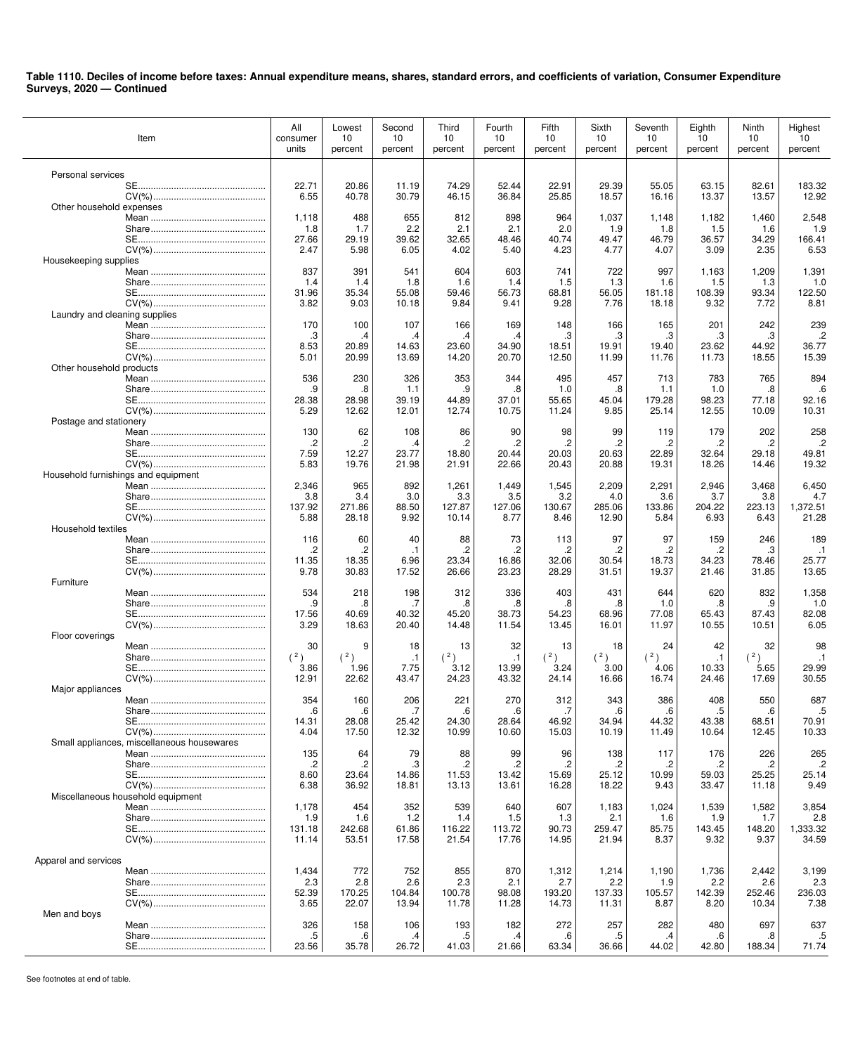|                               | Item                                       | All<br>consumer<br>units | Lowest<br>10<br>percent | Second<br>10<br>percent | Third<br>10<br>percent | Fourth<br>10<br>percent | Fifth<br>10<br>percent | Sixth<br>10<br>percent | Seventh<br>10<br>percent | Eighth<br>10<br>percent | Ninth<br>10<br>percent | Highest<br>10<br>percent |
|-------------------------------|--------------------------------------------|--------------------------|-------------------------|-------------------------|------------------------|-------------------------|------------------------|------------------------|--------------------------|-------------------------|------------------------|--------------------------|
|                               |                                            |                          |                         |                         |                        |                         |                        |                        |                          |                         |                        |                          |
| Personal services             |                                            | 22.71                    | 20.86                   | 11.19                   | 74.29                  | 52.44                   | 22.91                  | 29.39                  | 55.05                    | 63.15                   | 82.61                  | 183.32                   |
|                               |                                            | 6.55                     | 40.78                   | 30.79                   | 46.15                  | 36.84                   | 25.85                  | 18.57                  | 16.16                    | 13.37                   | 13.57                  | 12.92                    |
| Other household expenses      |                                            |                          |                         |                         |                        |                         |                        |                        |                          |                         |                        |                          |
|                               |                                            | 1,118                    | 488                     | 655                     | 812                    | 898                     | 964                    | 1,037                  | 1,148                    | 1,182                   | 1,460                  | 2,548                    |
|                               |                                            | 1.8<br>27.66             | 1.7<br>29.19            | 2.2<br>39.62            | 2.1<br>32.65           | 2.1<br>48.46            | 2.0<br>40.74           | 1.9<br>49.47           | 1.8<br>46.79             | 1.5<br>36.57            | 1.6<br>34.29           | 1.9<br>166.41            |
|                               |                                            | 2.47                     | 5.98                    | 6.05                    | 4.02                   | 5.40                    | 4.23                   | 4.77                   | 4.07                     | 3.09                    | 2.35                   | 6.53                     |
| Housekeeping supplies         |                                            |                          |                         |                         |                        |                         |                        |                        |                          |                         |                        |                          |
|                               |                                            | 837                      | 391                     | 541                     | 604                    | 603                     | 741                    | 722                    | 997                      | 1,163                   | 1,209                  | 1,391                    |
|                               |                                            | 1.4                      | 1.4<br>35.34            | 1.8<br>55.08            | 1.6                    | 1.4<br>56.73            | 1.5                    | 1.3                    | 1.6                      | 1.5                     | 1.3                    | 1.0<br>122.50            |
|                               |                                            | 31.96<br>3.82            | 9.03                    | 10.18                   | 59.46<br>9.84          | 9.41                    | 68.81<br>9.28          | 56.05<br>7.76          | 181.18<br>18.18          | 108.39<br>9.32          | 93.34<br>7.72          | 8.81                     |
| Laundry and cleaning supplies |                                            |                          |                         |                         |                        |                         |                        |                        |                          |                         |                        |                          |
|                               |                                            | 170                      | 100                     | 107                     | 166                    | 169                     | 148                    | 166                    | 165                      | 201                     | 242                    | 239                      |
|                               |                                            | З.                       | $\cdot$                 | .4                      | .4                     | $\cdot$                 | .3                     | .3                     | .3                       | .3                      | .3                     | $\cdot$                  |
|                               |                                            | 8.53<br>5.01             | 20.89<br>20.99          | 14.63<br>13.69          | 23.60<br>14.20         | 34.90<br>20.70          | 18.51<br>12.50         | 19.91<br>11.99         | 19.40<br>11.76           | 23.62<br>11.73          | 44.92<br>18.55         | 36.77<br>15.39           |
| Other household products      |                                            |                          |                         |                         |                        |                         |                        |                        |                          |                         |                        |                          |
|                               |                                            | 536                      | 230                     | 326                     | 353                    | 344                     | 495                    | 457                    | 713                      | 783                     | 765                    | 894                      |
|                               |                                            | .9                       | .8                      | 1.1                     | .9                     | .8                      | 1.0                    | .8                     | 1.1                      | 1.0                     | .8                     | .6                       |
|                               |                                            | 28.38                    | 28.98                   | 39.19                   | 44.89                  | 37.01                   | 55.65                  | 45.04                  | 179.28                   | 98.23                   | 77.18                  | 92.16                    |
| Postage and stationery        |                                            | 5.29                     | 12.62                   | 12.01                   | 12.74                  | 10.75                   | 11.24                  | 9.85                   | 25.14                    | 12.55                   | 10.09                  | 10.31                    |
|                               |                                            | 130                      | 62                      | 108                     | 86                     | 90                      | 98                     | 99                     | 119                      | 179                     | 202                    | 258                      |
|                               |                                            | .2                       | $\cdot$                 | .4                      | $\cdot$                | .2                      | .2                     | $\cdot$                | .2                       | .2                      | .2                     | $\cdot$                  |
|                               |                                            | 7.59                     | 12.27                   | 23.77                   | 18.80                  | 20.44                   | 20.03                  | 20.63                  | 22.89                    | 32.64                   | 29.18                  | 49.81                    |
|                               | Household furnishings and equipment        | 5.83                     | 19.76                   | 21.98                   | 21.91                  | 22.66                   | 20.43                  | 20.88                  | 19.31                    | 18.26                   | 14.46                  | 19.32                    |
|                               |                                            | 2,346                    | 965                     | 892                     | 1,261                  | 1,449                   | 1,545                  | 2,209                  | 2,291                    | 2,946                   | 3,468                  | 6,450                    |
|                               |                                            | 3.8                      | 3.4                     | 3.0                     | 3.3                    | 3.5                     | 3.2                    | 4.0                    | 3.6                      | 3.7                     | 3.8                    | 4.7                      |
|                               |                                            | 137.92                   | 271.86                  | 88.50                   | 127.87                 | 127.06                  | 130.67                 | 285.06                 | 133.86                   | 204.22                  | 223.13                 | 1,372.51                 |
|                               |                                            | 5.88                     | 28.18                   | 9.92                    | 10.14                  | 8.77                    | 8.46                   | 12.90                  | 5.84                     | 6.93                    | 6.43                   | 21.28                    |
| Household textiles            |                                            | 116                      | 60                      | 40                      | 88                     | 73                      | 113                    | 97                     | 97                       | 159                     | 246                    | 189                      |
|                               |                                            | .2                       | $\cdot$                 | $\cdot$ 1               | $\cdot$                | .2                      | .2                     | .2                     | .2                       | .2                      | .3                     | $\cdot$ 1                |
|                               |                                            | 11.35                    | 18.35                   | 6.96                    | 23.34                  | 16.86                   | 32.06                  | 30.54                  | 18.73                    | 34.23                   | 78.46                  | 25.77                    |
|                               |                                            | 9.78                     | 30.83                   | 17.52                   | 26.66                  | 23.23                   | 28.29                  | 31.51                  | 19.37                    | 21.46                   | 31.85                  | 13.65                    |
| Furniture                     |                                            | 534                      | 218                     | 198                     | 312                    | 336                     | 403                    | 431                    | 644                      | 620                     | 832                    | 1,358                    |
|                               |                                            | .9                       | .8                      | .7                      | .8                     | .8                      | .8                     | .8                     | 1.0                      | .8                      | .9                     | 1.0                      |
|                               |                                            | 17.56                    | 40.69                   | 40.32                   | 45.20                  | 38.73                   | 54.23                  | 68.96                  | 77.08                    | 65.43                   | 87.43                  | 82.08                    |
|                               |                                            | 3.29                     | 18.63                   | 20.40                   | 14.48                  | 11.54                   | 13.45                  | 16.01                  | 11.97                    | 10.55                   | 10.51                  | 6.05                     |
| Floor coverings               |                                            | 30                       | 9                       | 18                      | 13                     | 32                      | 13                     | 18                     | 24                       | 42                      | 32                     | 98                       |
|                               |                                            | (2)                      | (2)                     | $\cdot$ 1               | (2)                    | $\cdot$ 1               | (2)                    | (2)                    | (2)                      | $\cdot$ 1               | (2)                    | $\cdot$ 1                |
|                               |                                            | 3.86                     | 1.96                    | 7.75                    | 3.12                   | 13.99                   | 3.24                   | 3.00                   | 4.06                     | 10.33                   | 5.65                   | 29.99                    |
|                               |                                            | 12.91                    | 22.62                   | 43.47                   | 24.23                  | 43.32                   | 24.14                  | 16.66                  | 16.74                    | 24.46                   | 17.69                  | 30.55                    |
| Major appliances              |                                            | 354                      | 160                     | 206                     | 221                    | 270                     | 312                    | 343                    | 386                      | 408                     | 550                    | 687                      |
|                               | Share                                      | 6.                       | $6\overline{6}$         |                         | 6                      | $\epsilon$              | 7                      | 6                      | <b>F</b>                 | .5                      | .6                     | .5                       |
|                               |                                            | 14.31                    | 28.08                   | 25.42                   | 24.30                  | 28.64                   | 46.92                  | 34.94                  | 44.32                    | 43.38                   | 68.51                  | 70.91                    |
|                               |                                            | 4.04                     | 17.50                   | 12.32                   | 10.99                  | 10.60                   | 15.03                  | 10.19                  | 11.49                    | 10.64                   | 12.45                  | 10.33                    |
|                               | Small appliances, miscellaneous housewares |                          |                         |                         |                        |                         |                        |                        |                          |                         |                        |                          |
|                               |                                            | 135<br>.2                | 64<br>$\cdot$           | 79<br>.3                | 88<br>$\cdot$          | 99<br>.2                | 96<br>.2               | 138<br>$\overline{c}$  | 117<br>.2                | 176<br>.2               | 226<br>.2              | 265<br>$\cdot$           |
|                               |                                            | 8.60                     | 23.64                   | 14.86                   | 11.53                  | 13.42                   | 15.69                  | 25.12                  | 10.99                    | 59.03                   | 25.25                  | 25.14                    |
|                               |                                            | 6.38                     | 36.92                   | 18.81                   | 13.13                  | 13.61                   | 16.28                  | 18.22                  | 9.43                     | 33.47                   | 11.18                  | 9.49                     |
|                               | Miscellaneous household equipment          |                          |                         |                         |                        |                         |                        |                        |                          |                         |                        |                          |
|                               |                                            | 1,178<br>1.9             | 454<br>1.6              | 352<br>1.2              | 539<br>1.4             | 640<br>1.5              | 607<br>1.3             | 1,183<br>2.1           | 1,024<br>1.6             | 1,539<br>1.9            | 1,582<br>1.7           | 3,854<br>2.8             |
|                               |                                            | 131.18                   | 242.68                  | 61.86                   | 116.22                 | 113.72                  | 90.73                  | 259.47                 | 85.75                    | 143.45                  | 148.20                 | 1,333.32                 |
|                               |                                            | 11.14                    | 53.51                   | 17.58                   | 21.54                  | 17.76                   | 14.95                  | 21.94                  | 8.37                     | 9.32                    | 9.37                   | 34.59                    |
|                               |                                            |                          |                         |                         |                        |                         |                        |                        |                          |                         |                        |                          |
| Apparel and services          |                                            | 1,434                    | 772                     | 752                     |                        | 870                     | 1,312                  |                        |                          | 1,736                   | 2,442                  |                          |
|                               |                                            | 2.3                      | 2.8                     | 2.6                     | 855<br>2.3             | 2.1                     | 2.7                    | 1,214<br>2.2           | 1,190<br>1.9             | 2.2                     | 2.6                    | 3,199<br>2.3             |
|                               |                                            | 52.39                    | 170.25                  | 104.84                  | 100.78                 | 98.08                   | 193.20                 | 137.33                 | 105.57                   | 142.39                  | 252.46                 | 236.03                   |
|                               |                                            | 3.65                     | 22.07                   | 13.94                   | 11.78                  | 11.28                   | 14.73                  | 11.31                  | 8.87                     | 8.20                    | 10.34                  | 7.38                     |
| Men and boys                  |                                            |                          |                         |                         |                        |                         |                        |                        |                          |                         |                        |                          |
|                               |                                            | 326<br>.5                | 158<br>.6               | 106<br>.4               | 193<br>.5              | 182<br>.4               | 272<br>.6              | 257<br>.5              | 282<br>.4                | 480<br>.6               | 697<br>.8              | 637<br>.5                |
|                               |                                            | 23.56                    | 35.78                   | 26.72                   | 41.03                  | 21.66                   | 63.34                  | 36.66                  | 44.02                    | 42.80                   | 188.34                 | 71.74                    |
|                               |                                            |                          |                         |                         |                        |                         |                        |                        |                          |                         |                        |                          |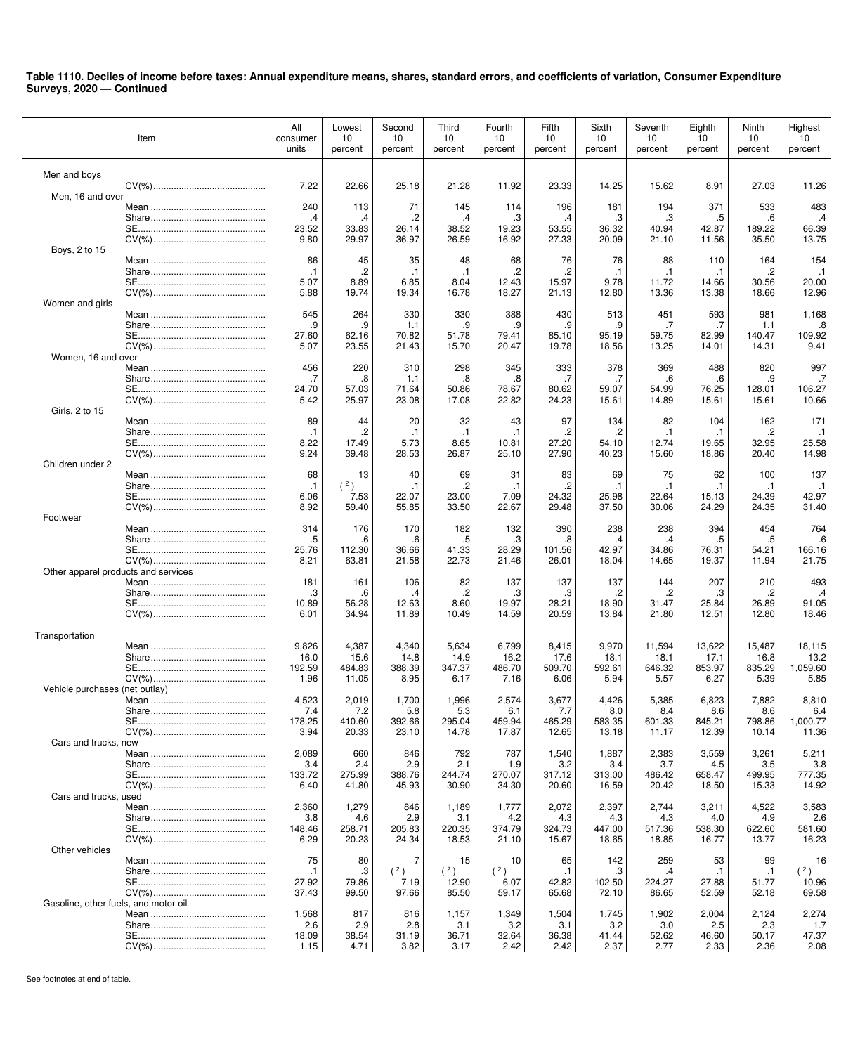|                                      | Item  | All<br>consumer<br>units | Lowest<br>10<br>percent | Second<br>10<br>percent | Third<br>10<br>percent | Fourth<br>10<br>percent | Fifth<br>10<br>percent | Sixth<br>10<br>percent | Seventh<br>10<br>percent | Eighth<br>10<br>percent | Ninth<br>10<br>percent | Highest<br>10<br>percent |
|--------------------------------------|-------|--------------------------|-------------------------|-------------------------|------------------------|-------------------------|------------------------|------------------------|--------------------------|-------------------------|------------------------|--------------------------|
| Men and boys                         |       |                          |                         |                         |                        |                         |                        |                        |                          |                         |                        |                          |
| Men, 16 and over                     |       | 7.22                     | 22.66                   | 25.18                   | 21.28                  | 11.92                   | 23.33                  | 14.25                  | 15.62                    | 8.91                    | 27.03                  | 11.26                    |
|                                      |       | 240                      | 113                     | 71                      | 145                    | 114                     | 196                    | 181                    | 194                      | 371                     | 533                    | 483                      |
|                                      |       | .4                       | $\cdot$                 | .2                      | .4                     | .3                      | .4                     | .3                     | .3                       | .5                      | .6                     | $\cdot$                  |
|                                      |       | 23.52                    | 33.83                   | 26.14                   | 38.52                  | 19.23                   | 53.55                  | 36.32                  | 40.94                    | 42.87                   | 189.22                 | 66.39<br>13.75           |
| Boys, 2 to 15                        |       | 9.80                     | 29.97                   | 36.97                   | 26.59                  | 16.92                   | 27.33                  | 20.09                  | 21.10                    | 11.56                   | 35.50                  |                          |
|                                      |       | 86                       | 45                      | 35                      | 48                     | 68                      | 76                     | 76                     | 88                       | 110                     | 164                    | 154                      |
|                                      |       | $\cdot$ 1                | $\cdot$                 | $\cdot$ 1               | $\cdot$ 1              | .2                      | .2                     | $\cdot$ 1              | $\cdot$ 1                | $\cdot$ 1               | .2                     | $\cdot$ 1                |
|                                      |       | 5.07                     | 8.89                    | 6.85                    | 8.04                   | 12.43                   | 15.97                  | 9.78                   | 11.72                    | 14.66                   | 30.56                  | 20.00                    |
| Women and girls                      |       | 5.88                     | 19.74                   | 19.34                   | 16.78                  | 18.27                   | 21.13                  | 12.80                  | 13.36                    | 13.38                   | 18.66                  | 12.96                    |
|                                      |       | 545                      | 264                     | 330                     | 330                    | 388                     | 430                    | 513                    | 451                      | 593                     | 981                    | 1,168                    |
|                                      |       | .9                       | .9                      | 1.1                     | .9                     | .9                      | .9                     | .9                     | .7                       | .7                      | 1.1                    | .8                       |
|                                      |       | 27.60                    | 62.16                   | 70.82                   | 51.78                  | 79.41                   | 85.10                  | 95.19                  | 59.75                    | 82.99                   | 140.47                 | 109.92                   |
| Women, 16 and over                   |       | 5.07                     | 23.55                   | 21.43                   | 15.70                  | 20.47                   | 19.78                  | 18.56                  | 13.25                    | 14.01                   | 14.31                  | 9.41                     |
|                                      |       | 456                      | 220                     | 310                     | 298                    | 345                     | 333                    | 378                    | 369                      | 488                     | 820                    | 997                      |
|                                      |       | .7                       | .8                      | 1.1                     | .8                     | .8                      | .7                     | .7                     | .6                       | .6                      | .9                     | .7                       |
|                                      |       | 24.70<br>5.42            | 57.03<br>25.97          | 71.64<br>23.08          | 50.86<br>17.08         | 78.67<br>22.82          | 80.62<br>24.23         | 59.07<br>15.61         | 54.99<br>14.89           | 76.25<br>15.61          | 128.01<br>15.61        | 106.27<br>10.66          |
| Girls, 2 to 15                       |       |                          |                         |                         |                        |                         |                        |                        |                          |                         |                        |                          |
|                                      |       | 89                       | 44                      | 20                      | 32                     | 43                      | 97                     | 134                    | 82                       | 104                     | 162                    | 171                      |
|                                      |       | $\cdot$ 1                | $\overline{c}$          | $\cdot$ 1               | $\cdot$ 1              | $\cdot$ 1               | .2                     | .2                     | $\cdot$ 1                | $\cdot$ 1               | .2                     | $\cdot$ 1                |
|                                      |       | 8.22                     | 17.49                   | 5.73                    | 8.65                   | 10.81                   | 27.20                  | 54.10                  | 12.74                    | 19.65                   | 32.95                  | 25.58                    |
| Children under 2                     |       | 9.24                     | 39.48                   | 28.53                   | 26.87                  | 25.10                   | 27.90                  | 40.23                  | 15.60                    | 18.86                   | 20.40                  | 14.98                    |
|                                      |       | 68                       | 13                      | 40                      | 69                     | 31                      | 83                     | 69                     | 75                       | 62                      | 100                    | 137                      |
|                                      |       | $\cdot$ 1                | (2)                     | $\cdot$ 1               | $\overline{c}$         | $\cdot$ 1               | $\cdot$                | $\cdot$ 1              | $\cdot$ 1                | $\cdot$ 1               | . 1                    | $\cdot$ 1                |
|                                      |       | 6.06                     | 7.53                    | 22.07                   | 23.00                  | 7.09                    | 24.32                  | 25.98                  | 22.64                    | 15.13                   | 24.39                  | 42.97                    |
| Footwear                             |       | 8.92                     | 59.40                   | 55.85                   | 33.50                  | 22.67                   | 29.48                  | 37.50                  | 30.06                    | 24.29                   | 24.35                  | 31.40                    |
|                                      |       | 314                      | 176                     | 170                     | 182                    | 132                     | 390                    | 238                    | 238                      | 394                     | 454                    | 764                      |
|                                      |       | .5                       | .6                      | .6                      | .5                     | .3                      | .8                     | .4                     | .4                       | .5                      | .5                     | .6                       |
|                                      |       | 25.76                    | 112.30                  | 36.66                   | 41.33                  | 28.29                   | 101.56                 | 42.97                  | 34.86                    | 76.31                   | 54.21                  | 166.16                   |
| Other apparel products and services  |       | 8.21                     | 63.81                   | 21.58                   | 22.73                  | 21.46                   | 26.01                  | 18.04                  | 14.65                    | 19.37                   | 11.94                  | 21.75                    |
|                                      |       | 181                      | 161                     | 106                     | 82                     | 137                     | 137                    | 137                    | 144                      | 207                     | 210                    | 493                      |
|                                      |       | .3                       | .6                      | $\cdot$                 | $\cdot$                | .3                      | .3                     | .2                     | .2                       | .3                      | .2                     | $\cdot$                  |
|                                      |       | 10.89                    | 56.28                   | 12.63                   | 8.60                   | 19.97                   | 28.21                  | 18.90                  | 31.47                    | 25.84                   | 26.89                  | 91.05                    |
|                                      |       | 6.01                     | 34.94                   | 11.89                   | 10.49                  | 14.59                   | 20.59                  | 13.84                  | 21.80                    | 12.51                   | 12.80                  | 18.46                    |
| Transportation                       |       |                          |                         |                         |                        |                         |                        |                        |                          |                         |                        |                          |
|                                      |       | 9,826                    | 4,387                   | 4,340                   | 5,634                  | 6,799                   | 8,415                  | 9,970                  | 11,594                   | 13,622                  | 15,487                 | 18,115                   |
|                                      |       | 16.0<br>192.59           | 15.6<br>484.83          | 14.8<br>388.39          | 14.9<br>347.37         | 16.2<br>486.70          | 17.6<br>509.70         | 18.1<br>592.61         | 18.1<br>646.32           | 17.1<br>853.97          | 16.8<br>835.29         | 13.2<br>1,059.60         |
|                                      |       | 1.96                     | 11.05                   | 8.95                    | 6.17                   | 7.16                    | 6.06                   | 5.94                   | 5.57                     | 6.27                    | 5.39                   | 5.85                     |
| Vehicle purchases (net outlay)       |       |                          |                         |                         |                        |                         |                        |                        |                          |                         |                        |                          |
|                                      |       | 4,523                    | 2,019                   | 1,700                   | 1,996                  | 2,574                   | 3,677                  | 4,426                  | 5,385                    | 6,823                   | 7,882                  | 8,810                    |
|                                      | Share | 7.4<br>178.25            | 7.2<br>410.60           | 5.8<br>392.66           | 5.3<br>295.04          | 6.1<br>459.94           | 7.7<br>465.29          | 8.0<br>583.35          | 8.4<br>601.33            | 8.6<br>845.21           | 8.6<br>798.86          | 6.4<br>1,000.77          |
|                                      |       | 3.94                     | 20.33                   | 23.10                   | 14.78                  | 17.87                   | 12.65                  | 13.18                  | 11.17                    | 12.39                   | 10.14                  | 11.36                    |
| Cars and trucks, new                 |       |                          |                         |                         |                        |                         |                        |                        |                          |                         |                        |                          |
|                                      |       | 2,089                    | 660                     | 846                     | 792                    | 787                     | 1,540                  | 1,887                  | 2,383                    | 3,559                   | 3,261                  | 5,211                    |
|                                      |       | 3.4<br>133.72            | 2.4<br>275.99           | 2.9<br>388.76           | 2.1<br>244.74          | 1.9<br>270.07           | 3.2<br>317.12          | 3.4<br>313.00          | 3.7<br>486.42            | 4.5<br>658.47           | 3.5<br>499.95          | 3.8<br>777.35            |
|                                      |       | 6.40                     | 41.80                   | 45.93                   | 30.90                  | 34.30                   | 20.60                  | 16.59                  | 20.42                    | 18.50                   | 15.33                  | 14.92                    |
| Cars and trucks, used                |       |                          |                         |                         |                        |                         |                        |                        |                          |                         |                        |                          |
|                                      |       | 2,360                    | 1,279                   | 846                     | 1,189                  | 1,777                   | 2,072                  | 2,397                  | 2,744                    | 3,211                   | 4,522                  | 3,583                    |
|                                      |       | 3.8<br>148.46            | 4.6<br>258.71           | 2.9<br>205.83           | 3.1<br>220.35          | 4.2<br>374.79           | 4.3<br>324.73          | 4.3<br>447.00          | 4.3<br>517.36            | 4.0<br>538.30           | 4.9<br>622.60          | 2.6<br>581.60            |
|                                      |       | 6.29                     | 20.23                   | 24.34                   | 18.53                  | 21.10                   | 15.67                  | 18.65                  | 18.85                    | 16.77                   | 13.77                  | 16.23                    |
| Other vehicles                       |       |                          |                         |                         |                        |                         |                        |                        |                          |                         |                        |                          |
|                                      |       | 75                       | 80                      | 7<br>(2)                | 15<br>(2)              | 10<br>(2)               | 65                     | 142                    | 259                      | 53                      | 99                     | 16<br>(2)                |
|                                      |       | $\cdot$ 1<br>27.92       | .3<br>79.86             | 7.19                    | 12.90                  | 6.07                    | $\cdot$ 1<br>42.82     | .3<br>102.50           | .4<br>224.27             | $\cdot$ 1<br>27.88      | $\cdot$ 1<br>51.77     | 10.96                    |
|                                      |       | 37.43                    | 99.50                   | 97.66                   | 85.50                  | 59.17                   | 65.68                  | 72.10                  | 86.65                    | 52.59                   | 52.18                  | 69.58                    |
| Gasoline, other fuels, and motor oil |       |                          |                         |                         |                        |                         |                        |                        |                          |                         |                        |                          |
|                                      |       | 1,568<br>2.6             | 817<br>2.9              | 816<br>2.8              | 1,157                  | 1,349                   | 1,504<br>3.1           | 1,745<br>3.2           | 1,902                    | 2,004<br>2.5            | 2,124<br>2.3           | 2,274<br>1.7             |
|                                      |       | 18.09                    | 38.54                   | 31.19                   | 3.1<br>36.71           | 3.2<br>32.64            | 36.38                  | 41.44                  | 3.0<br>52.62             | 46.60                   | 50.17                  | 47.37                    |
|                                      |       | 1.15                     | 4.71                    | 3.82                    | 3.17                   | 2.42                    | 2.42                   | 2.37                   | 2.77                     | 2.33                    | 2.36                   | 2.08                     |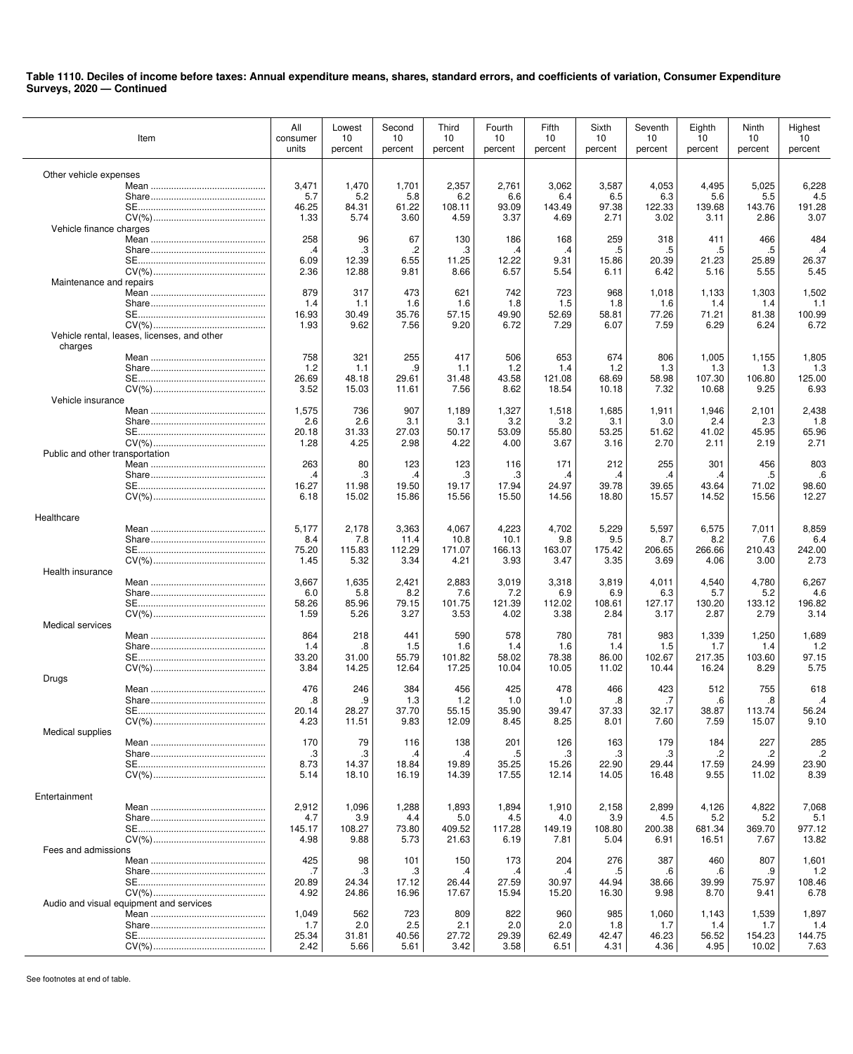|                                 | Item                                        | All<br>consumer<br>units | Lowest<br>10<br>percent | Second<br>10<br>percent | Third<br>10<br>percent | Fourth<br>10<br>percent | Fifth<br>10<br>percent | Sixth<br>10<br>percent | Seventh<br>10<br>percent | Eighth<br>10<br>percent | Ninth<br>10<br>percent | Highest<br>10<br>percent |
|---------------------------------|---------------------------------------------|--------------------------|-------------------------|-------------------------|------------------------|-------------------------|------------------------|------------------------|--------------------------|-------------------------|------------------------|--------------------------|
| Other vehicle expenses          |                                             |                          |                         |                         |                        |                         |                        |                        |                          |                         |                        |                          |
|                                 |                                             | 3,471                    | 1,470                   | 1,701                   | 2,357                  | 2,761                   | 3,062                  | 3,587                  | 4,053                    | 4,495                   | 5,025                  | 6,228                    |
|                                 |                                             | 5.7<br>46.25             | 5.2<br>84.31            | 5.8<br>61.22            | 6.2<br>108.11          | 6.6<br>93.09            | 6.4<br>143.49          | 6.5<br>97.38           | 6.3<br>122.33            | 5.6<br>139.68           | 5.5<br>143.76          | 4.5<br>191.28            |
|                                 |                                             | 1.33                     | 5.74                    | 3.60                    | 4.59                   | 3.37                    | 4.69                   | 2.71                   | 3.02                     | 3.11                    | 2.86                   | 3.07                     |
| Vehicle finance charges         |                                             |                          |                         |                         |                        |                         |                        |                        |                          |                         |                        |                          |
|                                 |                                             | 258                      | 96                      | 67                      | 130                    | 186                     | 168                    | 259                    | 318                      | 411                     | 466                    | 484                      |
|                                 |                                             | .4<br>6.09               | .3<br>12.39             | .2<br>6.55              | .3<br>11.25            | .4<br>12.22             | .4<br>9.31             | .5<br>15.86            | .5<br>20.39              | .5<br>21.23             | .5<br>25.89            | .4<br>26.37              |
|                                 |                                             | 2.36                     | 12.88                   | 9.81                    | 8.66                   | 6.57                    | 5.54                   | 6.11                   | 6.42                     | 5.16                    | 5.55                   | 5.45                     |
| Maintenance and repairs         |                                             |                          |                         |                         |                        |                         |                        |                        |                          |                         |                        |                          |
|                                 |                                             | 879<br>1.4               | 317<br>1.1              | 473<br>1.6              | 621<br>1.6             | 742<br>1.8              | 723<br>1.5             | 968<br>1.8             | 1,018<br>1.6             | 1,133<br>1.4            | 1,303<br>1.4           | 1,502<br>1.1             |
|                                 |                                             | 16.93                    | 30.49                   | 35.76                   | 57.15                  | 49.90                   | 52.69                  | 58.81                  | 77.26                    | 71.21                   | 81.38                  | 100.99                   |
|                                 |                                             | 1.93                     | 9.62                    | 7.56                    | 9.20                   | 6.72                    | 7.29                   | 6.07                   | 7.59                     | 6.29                    | 6.24                   | 6.72                     |
| charges                         | Vehicle rental, leases, licenses, and other |                          |                         |                         |                        |                         |                        |                        |                          |                         |                        |                          |
|                                 |                                             | 758                      | 321                     | 255                     | 417                    | 506                     | 653                    | 674                    | 806                      | 1,005                   | 1,155                  | 1,805                    |
|                                 |                                             | 1.2                      | 1.1                     | .9                      | 1.1                    | 1.2                     | 1.4                    | 1.2                    | 1.3                      | 1.3                     | 1.3                    | 1.3                      |
|                                 |                                             | 26.69<br>3.52            | 48.18<br>15.03          | 29.61                   | 31.48                  | 43.58                   | 121.08                 | 68.69                  | 58.98                    | 107.30                  | 106.80                 | 125.00                   |
| Vehicle insurance               |                                             |                          |                         | 11.61                   | 7.56                   | 8.62                    | 18.54                  | 10.18                  | 7.32                     | 10.68                   | 9.25                   | 6.93                     |
|                                 |                                             | 1,575                    | 736                     | 907                     | 1,189                  | 1,327                   | 1,518                  | 1,685                  | 1,911                    | 1,946                   | 2,101                  | 2,438                    |
|                                 |                                             | 2.6                      | 2.6                     | 3.1                     | 3.1                    | 3.2                     | 3.2                    | 3.1                    | 3.0                      | 2.4                     | 2.3                    | 1.8                      |
|                                 |                                             | 20.18<br>1.28            | 31.33<br>4.25           | 27.03<br>2.98           | 50.17<br>4.22          | 53.09<br>4.00           | 55.80<br>3.67          | 53.25<br>3.16          | 51.62<br>2.70            | 41.02<br>2.11           | 45.95<br>2.19          | 65.96<br>2.71            |
| Public and other transportation |                                             |                          |                         |                         |                        |                         |                        |                        |                          |                         |                        |                          |
|                                 |                                             | 263                      | 80                      | 123                     | 123                    | 116                     | 171                    | 212                    | 255                      | 301                     | 456                    | 803                      |
|                                 |                                             | .4<br>16.27              | .3<br>11.98             | .4<br>19.50             | .3<br>19.17            | .3<br>17.94             | .4<br>24.97            | .4<br>39.78            | $\cdot$<br>39.65         | .4<br>43.64             | .5<br>71.02            | .6<br>98.60              |
|                                 |                                             | 6.18                     | 15.02                   | 15.86                   | 15.56                  | 15.50                   | 14.56                  | 18.80                  | 15.57                    | 14.52                   | 15.56                  | 12.27                    |
|                                 |                                             |                          |                         |                         |                        |                         |                        |                        |                          |                         |                        |                          |
| Healthcare                      |                                             | 5,177                    | 2,178                   | 3,363                   | 4,067                  | 4,223                   | 4,702                  | 5,229                  | 5,597                    | 6,575                   | 7,011                  | 8,859                    |
|                                 |                                             | 8.4                      | 7.8                     | 11.4                    | 10.8                   | 10.1                    | 9.8                    | 9.5                    | 8.7                      | 8.2                     | 7.6                    | 6.4                      |
|                                 |                                             | 75.20                    | 115.83                  | 112.29                  | 171.07                 | 166.13                  | 163.07                 | 175.42                 | 206.65                   | 266.66                  | 210.43                 | 242.00                   |
| Health insurance                |                                             | 1.45                     | 5.32                    | 3.34                    | 4.21                   | 3.93                    | 3.47                   | 3.35                   | 3.69                     | 4.06                    | 3.00                   | 2.73                     |
|                                 |                                             | 3,667                    | 1,635                   | 2,421                   | 2,883                  | 3,019                   | 3,318                  | 3,819                  | 4,011                    | 4,540                   | 4,780                  | 6,267                    |
|                                 |                                             | 6.0                      | 5.8                     | 8.2                     | 7.6                    | 7.2                     | 6.9                    | 6.9                    | 6.3                      | 5.7                     | 5.2                    | 4.6                      |
|                                 |                                             | 58.26                    | 85.96                   | 79.15                   | 101.75                 | 121.39                  | 112.02                 | 108.61                 | 127.17                   | 130.20                  | 133.12                 | 196.82                   |
| <b>Medical services</b>         |                                             | 1.59                     | 5.26                    | 3.27                    | 3.53                   | 4.02                    | 3.38                   | 2.84                   | 3.17                     | 2.87                    | 2.79                   | 3.14                     |
|                                 |                                             | 864                      | 218                     | 441                     | 590                    | 578                     | 780                    | 781                    | 983                      | 1,339                   | 1,250                  | 1,689                    |
|                                 |                                             | 1.4                      | .8                      | 1.5                     | 1.6                    | 1.4                     | 1.6                    | 1.4                    | 1.5                      | 1.7                     | 1.4                    | 1.2                      |
|                                 |                                             | 33.20<br>3.84            | 31.00<br>14.25          | 55.79<br>12.64          | 101.82<br>17.25        | 58.02<br>10.04          | 78.38<br>10.05         | 86.00<br>11.02         | 102.67<br>10.44          | 217.35<br>16.24         | 103.60<br>8.29         | 97.15<br>5.75            |
| Drugs                           |                                             |                          |                         |                         |                        |                         |                        |                        |                          |                         |                        |                          |
|                                 |                                             | 476                      | 246                     | 384                     | 456                    | 425                     | 478                    | 466                    | 423                      | 512                     | 755                    | 618                      |
|                                 | SE.                                         | .8<br>20.14              | .9<br>28.27             | 1.3<br>37.70            | 1.2<br>55.15           | 1.0<br>35.90            | 1.0<br>39.47           | .8<br>37.33            | .7<br>32.17              | .6<br>38.87             | .8<br>113.74           | $\cdot$<br>56.24         |
|                                 |                                             | 4.23                     | 11.51                   | 9.83                    | 12.09                  | 8.45                    | 8.25                   | 8.01                   | 7.60                     | 7.59                    | 15.07                  | 9.10                     |
| Medical supplies                |                                             |                          |                         |                         |                        |                         |                        |                        |                          |                         |                        |                          |
|                                 |                                             | 170<br>.3                | 79<br>.3                | 116<br>.4               | 138<br>.4              | 201<br>.5               | 126<br>.3              | 163<br>.3              | 179<br>.3                | 184<br>.2               | 227<br>.2              | 285<br>$\cdot$           |
|                                 |                                             | 8.73                     | 14.37                   | 18.84                   | 19.89                  | 35.25                   | 15.26                  | 22.90                  | 29.44                    | 17.59                   | 24.99                  | 23.90                    |
|                                 |                                             | 5.14                     | 18.10                   | 16.19                   | 14.39                  | 17.55                   | 12.14                  | 14.05                  | 16.48                    | 9.55                    | 11.02                  | 8.39                     |
| Entertainment                   |                                             |                          |                         |                         |                        |                         |                        |                        |                          |                         |                        |                          |
|                                 |                                             | 2,912                    | 1,096                   | 1,288                   | 1,893                  | 1,894                   | 1,910                  | 2,158                  | 2,899                    | 4,126                   | 4,822                  | 7,068                    |
|                                 |                                             | 4.7                      | 3.9                     | 4.4                     | 5.0                    | 4.5                     | 4.0                    | 3.9                    | 4.5                      | 5.2                     | 5.2                    | 5.1                      |
|                                 |                                             | 145.17<br>4.98           | 108.27<br>9.88          | 73.80<br>5.73           | 409.52<br>21.63        | 117.28<br>6.19          | 149.19<br>7.81         | 108.80<br>5.04         | 200.38<br>6.91           | 681.34<br>16.51         | 369.70<br>7.67         | 977.12<br>13.82          |
| Fees and admissions             |                                             |                          |                         |                         |                        |                         |                        |                        |                          |                         |                        |                          |
|                                 |                                             | 425                      | 98                      | 101                     | 150                    | 173                     | 204                    | 276                    | 387                      | 460                     | 807                    | 1,601                    |
|                                 |                                             | .7<br>20.89              | .3<br>24.34             | .3<br>17.12             | .4<br>26.44            | .4<br>27.59             | .4<br>30.97            | .5<br>44.94            | .6<br>38.66              | .6<br>39.99             | .9<br>75.97            | 1.2<br>108.46            |
|                                 |                                             | 4.92                     | 24.86                   | 16.96                   | 17.67                  | 15.94                   | 15.20                  | 16.30                  | 9.98                     | 8.70                    | 9.41                   | 6.78                     |
|                                 | Audio and visual equipment and services     |                          |                         |                         |                        |                         |                        |                        |                          |                         |                        |                          |
|                                 |                                             | 1,049                    | 562                     | 723                     | 809                    | 822                     | 960                    | 985                    | 1,060                    | 1,143                   | 1,539                  | 1,897                    |
|                                 |                                             | 1.7<br>25.34             | 2.0<br>31.81            | 2.5<br>40.56            | 2.1<br>27.72           | 2.0<br>29.39            | 2.0<br>62.49           | 1.8<br>42.47           | 1.7<br>46.23             | 1.4<br>56.52            | 1.7<br>154.23          | 1.4<br>144.75            |
|                                 |                                             | 2.42                     | 5.66                    | 5.61                    | 3.42                   | 3.58                    | 6.51                   | 4.31                   | 4.36                     | 4.95                    | 10.02                  | 7.63                     |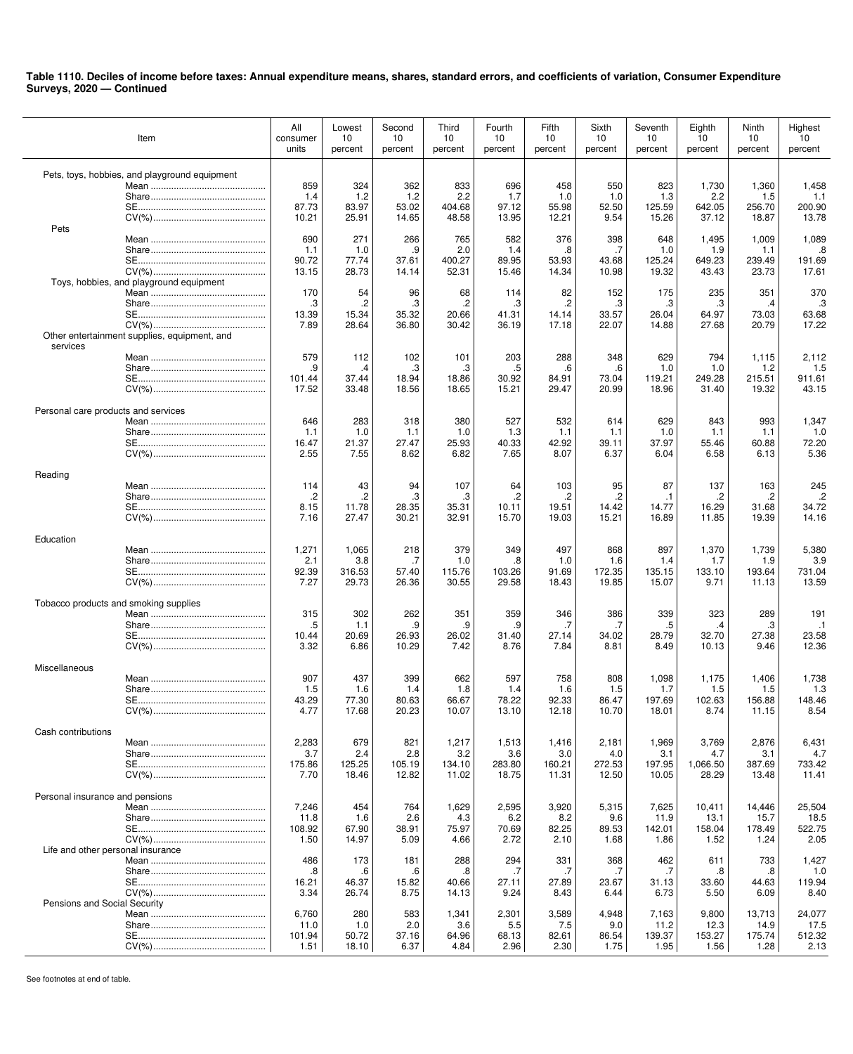| Item                                                     | All<br>consumer<br>units                | Lowest<br>10<br>percent               | Second<br>10<br>percent                 | Third<br>10<br>percent                 | Fourth<br>10<br>percent               | Fifth<br>10<br>percent                | Sixth<br>10<br>percent                | Seventh<br>10<br>percent                | Eighth<br>10<br>percent                 | Ninth<br>10<br>percent                   | Highest<br>10<br>percent                 |
|----------------------------------------------------------|-----------------------------------------|---------------------------------------|-----------------------------------------|----------------------------------------|---------------------------------------|---------------------------------------|---------------------------------------|-----------------------------------------|-----------------------------------------|------------------------------------------|------------------------------------------|
| Pets, toys, hobbies, and playground equipment            | 859<br>1.4<br>87.73<br>10.21            | 324<br>1.2<br>83.97<br>25.91          | 362<br>1.2<br>53.02<br>14.65            | 833<br>2.2<br>404.68<br>48.58          | 696<br>1.7<br>97.12<br>13.95          | 458<br>1.0<br>55.98<br>12.21          | 550<br>1.0<br>52.50<br>9.54           | 823<br>1.3<br>125.59<br>15.26           | 1,730<br>2.2<br>642.05<br>37.12         | 1,360<br>1.5<br>256.70<br>18.87          | 1,458<br>1.1<br>200.90<br>13.78          |
| Pets                                                     | 690<br>1.1<br>90.72<br>13.15            | 271<br>1.0<br>77.74<br>28.73          | 266<br>.9<br>37.61<br>14.14             | 765<br>2.0<br>400.27<br>52.31          | 582<br>1.4<br>89.95<br>15.46          | 376<br>.8<br>53.93<br>14.34           | 398<br>.7<br>43.68<br>10.98           | 648<br>1.0<br>125.24<br>19.32           | 1,495<br>1.9<br>649.23<br>43.43         | 1,009<br>1.1<br>239.49<br>23.73          | 1,089<br>.8<br>191.69<br>17.61           |
| Toys, hobbies, and playground equipment                  | 170<br>.3<br>13.39<br>7.89              | 54<br>.2<br>15.34<br>28.64            | 96<br>.3<br>35.32<br>36.80              | 68<br>.2<br>20.66<br>30.42             | 114<br>.3<br>41.31<br>36.19           | 82<br>.2<br>14.14<br>17.18            | 152<br>.3<br>33.57<br>22.07           | 175<br>.3<br>26.04<br>14.88             | 235<br>.3<br>64.97<br>27.68             | 351<br>.4<br>73.03<br>20.79              | 370<br>.3<br>63.68<br>17.22              |
| Other entertainment supplies, equipment, and<br>services | 579<br>.9<br>101.44<br>17.52            | 112<br>$\cdot$<br>37.44<br>33.48      | 102<br>.3<br>18.94<br>18.56             | 101<br>.3<br>18.86<br>18.65            | 203<br>.5<br>30.92<br>15.21           | 288<br>$6 \cdot$<br>84.91<br>29.47    | 348<br>.6<br>73.04<br>20.99           | 629<br>1.0<br>119.21<br>18.96           | 794<br>1.0<br>249.28<br>31.40           | 1,115<br>1.2<br>215.51<br>19.32          | 2,112<br>1.5<br>911.61<br>43.15          |
| Personal care products and services                      | 646<br>1.1<br>16.47                     | 283<br>1.0<br>21.37                   | 318<br>1.1<br>27.47                     | 380<br>1.0<br>25.93                    | 527<br>1.3<br>40.33                   | 532<br>1.1<br>42.92                   | 614<br>1.1<br>39.11                   | 629<br>1.0<br>37.97                     | 843<br>1.1<br>55.46                     | 993<br>1.1<br>60.88                      | 1,347<br>1.0<br>72.20                    |
| Reading                                                  | 2.55<br>114<br>.2<br>8.15               | 7.55<br>43<br>.2<br>11.78             | 8.62<br>94<br>.3<br>28.35               | 6.82<br>107<br>.3<br>35.31             | 7.65<br>64<br>$\cdot$<br>10.11        | 8.07<br>103<br>.2<br>19.51            | 6.37<br>95<br>.2<br>14.42             | 6.04<br>87<br>.1<br>14.77               | 6.58<br>137<br>.2<br>16.29              | 6.13<br>163<br>.2<br>31.68               | 5.36<br>245<br>$\cdot$<br>34.72          |
| Education                                                | 7.16<br>1,271<br>2.1<br>92.39           | 27.47<br>1,065<br>3.8<br>316.53       | 30.21<br>218<br>.7<br>57.40             | 32.91<br>379<br>1.0<br>115.76          | 15.70<br>349<br>.8<br>103.26          | 19.03<br>497<br>1.0<br>91.69          | 15.21<br>868<br>1.6<br>172.35         | 16.89<br>897<br>1.4<br>135.15           | 11.85<br>1,370<br>1.7<br>133.10         | 19.39<br>1,739<br>1.9<br>193.64          | 14.16<br>5,380<br>3.9<br>731.04          |
| Tobacco products and smoking supplies                    | 7.27<br>315<br>.5<br>10.44              | 29.73<br>302<br>1.1<br>20.69          | 26.36<br>262<br>.9<br>26.93             | 30.55<br>351<br>.9<br>26.02            | 29.58<br>359<br>.9<br>31.40           | 18.43<br>346<br>.7<br>27.14           | 19.85<br>386<br>.7<br>34.02           | 15.07<br>339<br>.5<br>28.79             | 9.71<br>323<br>.4<br>32.70              | 11.13<br>289<br>.3<br>27.38              | 13.59<br>191<br>$\cdot$ 1<br>23.58       |
| Miscellaneous                                            | 3.32<br>907<br>1.5<br>43.29             | 6.86<br>437<br>1.6<br>77.30           | 10.29<br>399<br>1.4<br>80.63            | 7.42<br>662<br>1.8<br>66.67            | 8.76<br>597<br>1.4<br>78.22           | 7.84<br>758<br>1.6<br>92.33           | 8.81<br>808<br>1.5<br>86.47           | 8.49<br>1,098<br>1.7<br>197.69          | 10.13<br>1,175<br>1.5<br>102.63         | 9.46<br>1,406<br>1.5<br>156.88           | 12.36<br>1,738<br>1.3<br>148.46          |
| $CV(\%).$<br>Cash contributions                          | 4.77<br>2,283<br>3.7                    | 17.68<br>679<br>2.4                   | 20.23<br>821<br>2.8                     | 10.07<br>1,217<br>3.2                  | 13.10<br>1,513<br>3.6                 | 12.18<br>1,416<br>3.0                 | 10.70<br>2,181<br>4.0                 | 18.01<br>1,969<br>3.1                   | 8.74<br>3,769<br>4.7                    | 11.15<br>2,876<br>3.1                    | 8.54<br>6,431<br>4.7                     |
| Personal insurance and pensions                          | 175.86<br>7.70<br>7,246<br>11.8         | 125.25<br>18.46<br>454<br>1.6         | 105.19<br>12.82<br>764<br>2.6           | 134.10<br>11.02<br>1,629<br>4.3        | 283.80<br>18.75<br>2,595<br>6.2       | 160.21<br>11.31<br>3,920<br>8.2       | 272.53<br>12.50<br>5,315<br>9.6       | 197.95<br>10.05<br>7,625<br>11.9        | 1,066.50<br>28.29<br>10,411<br>13.1     | 387.69<br>13.48<br>14,446<br>15.7        | 733.42<br>11.41<br>25,504<br>18.5        |
| Life and other personal insurance                        | 108.92<br>1.50<br>486<br>.8<br>16.21    | 67.90<br>14.97<br>173<br>.6<br>46.37  | 38.91<br>5.09<br>181<br>$.6\,$<br>15.82 | 75.97<br>4.66<br>288<br>.8<br>40.66    | 70.69<br>2.72<br>294<br>.7<br>27.11   | 82.25<br>2.10<br>331<br>.7<br>27.89   | 89.53<br>1.68<br>368<br>.7<br>23.67   | 142.01<br>1.86<br>462<br>.7<br>31.13    | 158.04<br>1.52<br>611<br>.8<br>33.60    | 178.49<br>1.24<br>733<br>.8<br>44.63     | 522.75<br>2.05<br>1,427<br>1.0<br>119.94 |
| Pensions and Social Security                             | 3.34<br>6,760<br>11.0<br>101.94<br>1.51 | 26.74<br>280<br>1.0<br>50.72<br>18.10 | 8.75<br>583<br>2.0<br>37.16<br>6.37     | 14.13<br>1,341<br>3.6<br>64.96<br>4.84 | 9.24<br>2,301<br>5.5<br>68.13<br>2.96 | 8.43<br>3,589<br>7.5<br>82.61<br>2.30 | 6.44<br>4,948<br>9.0<br>86.54<br>1.75 | 6.73<br>7,163<br>11.2<br>139.37<br>1.95 | 5.50<br>9,800<br>12.3<br>153.27<br>1.56 | 6.09<br>13,713<br>14.9<br>175.74<br>1.28 | 8.40<br>24,077<br>17.5<br>512.32<br>2.13 |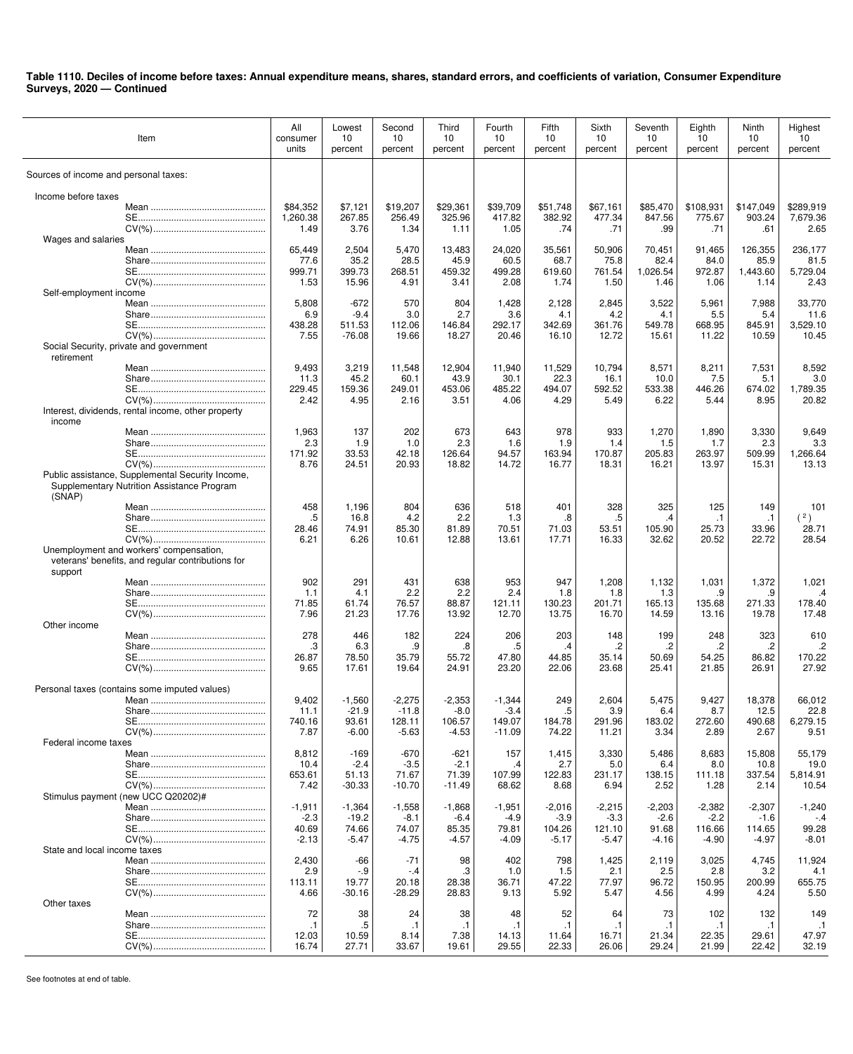| Item                                                                                                     | All<br>consumer<br>units | Lowest<br>10<br>percent | Second<br>10<br>percent | Third<br>10<br>percent | Fourth<br>10<br>percent | Fifth<br>10<br>percent | Sixth<br>10<br>percent | Seventh<br>10<br>percent | Eighth<br>10<br>percent | Ninth<br>10<br>percent | Highest<br>10<br>percent |
|----------------------------------------------------------------------------------------------------------|--------------------------|-------------------------|-------------------------|------------------------|-------------------------|------------------------|------------------------|--------------------------|-------------------------|------------------------|--------------------------|
| Sources of income and personal taxes:                                                                    |                          |                         |                         |                        |                         |                        |                        |                          |                         |                        |                          |
| Income before taxes                                                                                      |                          |                         |                         |                        |                         |                        |                        |                          |                         |                        |                          |
|                                                                                                          | \$84,352                 | \$7,121                 | \$19,207                | \$29,361               | \$39,709                | \$51,748               | \$67,161               | \$85,470                 | \$108,931               | \$147,049              | \$289,919                |
|                                                                                                          | 1,260.38                 | 267.85                  | 256.49                  | 325.96                 | 417.82                  | 382.92                 | 477.34                 | 847.56                   | 775.67                  | 903.24                 | 7,679.36                 |
|                                                                                                          | 1.49                     | 3.76                    | 1.34                    | 1.11                   | 1.05                    | .74                    | .71                    | .99                      | .71                     | .61                    | 2.65                     |
| Wages and salaries                                                                                       | 65,449                   | 2,504                   | 5,470                   | 13,483                 | 24,020                  | 35,561                 | 50,906                 | 70,451                   | 91,465                  | 126,355                | 236,177                  |
|                                                                                                          | 77.6                     | 35.2                    | 28.5                    | 45.9                   | 60.5                    | 68.7                   | 75.8                   | 82.4                     | 84.0                    | 85.9                   | 81.5                     |
|                                                                                                          | 999.71                   | 399.73                  | 268.51                  | 459.32                 | 499.28                  | 619.60                 | 761.54                 | 1,026.54                 | 972.87                  | 1,443.60               | 5,729.04                 |
|                                                                                                          | 1.53                     | 15.96                   | 4.91                    | 3.41                   | 2.08                    | 1.74                   | 1.50                   | 1.46                     | 1.06                    | 1.14                   | 2.43                     |
| Self-employment income                                                                                   | 5,808                    | $-672$                  | 570                     | 804                    | 1,428                   | 2,128                  | 2,845                  | 3,522                    | 5,961                   | 7,988                  | 33,770                   |
|                                                                                                          | 6.9                      | $-9.4$                  | 3.0                     | 2.7                    | 3.6                     | 4.1                    | 4.2                    | 4.1                      | 5.5                     | 5.4                    | 11.6                     |
|                                                                                                          | 438.28                   | 511.53                  | 112.06                  | 146.84                 | 292.17                  | 342.69                 | 361.76                 | 549.78                   | 668.95                  | 845.91                 | 3,529.10                 |
|                                                                                                          | 7.55                     | $-76.08$                | 19.66                   | 18.27                  | 20.46                   | 16.10                  | 12.72                  | 15.61                    | 11.22                   | 10.59                  | 10.45                    |
| Social Security, private and government<br>retirement                                                    |                          |                         |                         |                        |                         |                        |                        |                          |                         |                        |                          |
|                                                                                                          | 9,493                    | 3,219                   | 11,548                  | 12,904                 | 11,940                  | 11,529                 | 10,794                 | 8,571                    | 8,211                   | 7,531                  | 8,592                    |
|                                                                                                          | 11.3<br>229.45           | 45.2<br>159.36          | 60.1<br>249.01          | 43.9<br>453.06         | 30.1<br>485.22          | 22.3<br>494.07         | 16.1<br>592.52         | 10.0<br>533.38           | 7.5<br>446.26           | 5.1<br>674.02          | 3.0<br>1,789.35          |
|                                                                                                          | 2.42                     | 4.95                    | 2.16                    | 3.51                   | 4.06                    | 4.29                   | 5.49                   | 6.22                     | 5.44                    | 8.95                   | 20.82                    |
| Interest, dividends, rental income, other property<br>income                                             |                          |                         |                         |                        |                         |                        |                        |                          |                         |                        |                          |
|                                                                                                          | 1,963                    | 137                     | 202                     | 673                    | 643                     | 978                    | 933                    | 1,270                    | 1,890                   | 3,330                  | 9,649                    |
|                                                                                                          | 2.3                      | 1.9                     | 1.0                     | 2.3                    | 1.6                     | 1.9                    | 1.4                    | 1.5                      | 1.7                     | 2.3                    | 3.3                      |
|                                                                                                          | 171.92                   | 33.53                   | 42.18                   | 126.64<br>18.82        | 94.57<br>14.72          | 163.94                 | 170.87                 | 205.83                   | 263.97                  | 509.99                 | 1,266.64<br>13.13        |
| Public assistance, Supplemental Security Income,<br>Supplementary Nutrition Assistance Program<br>(SNAP) | 8.76                     | 24.51                   | 20.93                   |                        |                         | 16.77                  | 18.31                  | 16.21                    | 13.97                   | 15.31                  |                          |
|                                                                                                          | 458                      | 1,196                   | 804                     | 636                    | 518                     | 401                    | 328                    | 325                      | 125                     | 149                    | 101                      |
|                                                                                                          | .5                       | 16.8                    | 4.2                     | 2.2                    | 1.3                     | .8                     | .5                     | $\cdot$                  | $\cdot$ 1               | $\cdot$ 1              | (2)                      |
|                                                                                                          | 28.46                    | 74.91                   | 85.30                   | 81.89                  | 70.51                   | 71.03                  | 53.51<br>16.33         | 105.90<br>32.62          | 25.73<br>20.52          | 33.96<br>22.72         | 28.71<br>28.54           |
| Unemployment and workers' compensation,<br>veterans' benefits, and regular contributions for<br>support  | 6.21                     | 6.26                    | 10.61                   | 12.88                  | 13.61                   | 17.71                  |                        |                          |                         |                        |                          |
|                                                                                                          | 902                      | 291                     | 431                     | 638                    | 953                     | 947                    | 1,208                  | 1,132                    | 1,031                   | 1,372                  | 1,021                    |
|                                                                                                          | 1.1                      | 4.1                     | 2.2                     | 2.2                    | 2.4                     | 1.8                    | 1.8                    | 1.3                      | .9                      | .9                     | $\cdot$ 4                |
|                                                                                                          | 71.85                    | 61.74                   | 76.57                   | 88.87                  | 121.11                  | 130.23                 | 201.71                 | 165.13                   | 135.68                  | 271.33                 | 178.40                   |
| Other income                                                                                             | 7.96                     | 21.23                   | 17.76                   | 13.92                  | 12.70                   | 13.75                  | 16.70                  | 14.59                    | 13.16                   | 19.78                  | 17.48                    |
|                                                                                                          | 278                      | 446                     | 182                     | 224                    | 206                     | 203                    | 148                    | 199                      | 248                     | 323                    | 610                      |
|                                                                                                          | .3                       | 6.3                     | .9                      | .8                     | .5                      | .4                     | $\cdot$                | .2                       | .2                      | .2                     | $\cdot$                  |
|                                                                                                          | 26.87                    | 78.50                   | 35.79                   | 55.72                  | 47.80                   | 44.85                  | 35.14                  | 50.69                    | 54.25                   | 86.82                  | 170.22                   |
|                                                                                                          | 9.65                     | 17.61                   | 19.64                   | 24.91                  | 23.20                   | 22.06                  | 23.68                  | 25.41                    | 21.85                   | 26.91                  | 27.92                    |
| Personal taxes (contains some imputed values)                                                            |                          |                         |                         |                        |                         |                        |                        |                          |                         |                        |                          |
|                                                                                                          | 9,402                    | $-1,560$                | $-2,275$                | $-2,353$               | $-1,344$                | 249                    | 2,604                  | 5,475                    | 9,427                   | 18,378                 | 66,012                   |
|                                                                                                          | 11.1                     | $-21.9$                 | $-11.8$                 | $-8.0$                 | $-3.4$                  | .5                     | 3.9                    | 6.4                      | 8.7                     | 12.5                   | 22.8                     |
|                                                                                                          | 740.16<br>7.87           | 93.61<br>$-6.00$        | 128.11<br>$-5.63$       | 106.57<br>$-4.53$      | 149.07<br>$-11.09$      | 184.78<br>74.22        | 291.96<br>11.21        | 183.02<br>3.34           | 272.60<br>2.89          | 490.68<br>2.67         | 6,279.15<br>9.51         |
| Federal income taxes                                                                                     |                          |                         |                         |                        |                         |                        |                        |                          |                         |                        |                          |
|                                                                                                          | 8,812                    | $-169$                  | $-670$                  | $-621$                 | 157                     | 1,415                  | 3,330                  | 5,486                    | 8,683                   | 15,808                 | 55,179                   |
|                                                                                                          | 10.4                     | $-2.4$                  | $-3.5$                  | $-2.1$                 | .4                      | 2.7                    | 5.0                    | 6.4                      | 8.0                     | 10.8                   | 19.0                     |
|                                                                                                          | 653.61                   | 51.13                   | 71.67                   | 71.39                  | 107.99                  | 122.83                 | 231.17                 | 138.15                   | 111.18                  | 337.54                 | 5,814.91                 |
| Stimulus payment (new UCC Q20202)#                                                                       | 7.42                     | $-30.33$                | $-10.70$                | $-11.49$               | 68.62                   | 8.68                   | 6.94                   | 2.52                     | 1.28                    | 2.14                   | 10.54                    |
|                                                                                                          | $-1,911$                 | $-1,364$                | $-1,558$                | $-1,868$               | -1,951                  | $-2,016$               | $-2,215$               | $-2,203$                 | $-2,382$                | $-2,307$               | -1,240                   |
|                                                                                                          | $-2.3$                   | $-19.2$                 | $-8.1$                  | $-6.4$                 | $-4.9$                  | $-3.9$                 | $-3.3$                 | $-2.6$                   | $-2.2$                  | $-1.6$                 | $-4$                     |
|                                                                                                          | 40.69                    | 74.66                   | 74.07                   | 85.35                  | 79.81                   | 104.26                 | 121.10                 | 91.68                    | 116.66                  | 114.65                 | 99.28                    |
| State and local income taxes                                                                             | $-2.13$                  | $-5.47$                 | $-4.75$                 | $-4.57$                | $-4.09$                 | $-5.17$                | $-5.47$                | $-4.16$                  | $-4.90$                 | $-4.97$                | $-8.01$                  |
|                                                                                                          | 2,430                    | -66                     | -71                     | 98                     | 402                     | 798                    | 1,425                  | 2,119                    | 3,025                   | 4,745                  | 11,924                   |
|                                                                                                          | 2.9                      | $-9$                    | $-4$                    | .3                     | 1.0                     | 1.5                    | 2.1                    | 2.5                      | 2.8                     | 3.2                    | 4.1                      |
|                                                                                                          | 113.11                   | 19.77                   | 20.18                   | 28.38                  | 36.71                   | 47.22                  | 77.97                  | 96.72                    | 150.95                  | 200.99                 | 655.75                   |
|                                                                                                          | 4.66                     | $-30.16$                | $-28.29$                | 28.83                  | 9.13                    | 5.92                   | 5.47                   | 4.56                     | 4.99                    | 4.24                   | 5.50                     |
| Other taxes                                                                                              | 72                       | 38                      | 24                      | 38                     | 48                      | 52                     | 64                     | 73                       | 102                     | 132                    | 149                      |
|                                                                                                          | $\cdot$ 1                | .5                      | $\cdot$ 1               | $\cdot$ 1              | $\cdot$ 1               | $\cdot$ 1              | $\cdot$ 1              | J.                       | $\cdot$ 1               | $\cdot$ 1              | $\cdot$ 1                |
|                                                                                                          | 12.03                    | 10.59                   | 8.14                    | 7.38                   | 14.13                   | 11.64                  | 16.71                  | 21.34                    | 22.35                   | 29.61                  | 47.97                    |
|                                                                                                          | 16.74                    | 27.71                   | 33.67                   | 19.61                  | 29.55                   | 22.33                  | 26.06                  | 29.24                    | 21.99                   | 22.42                  | 32.19                    |